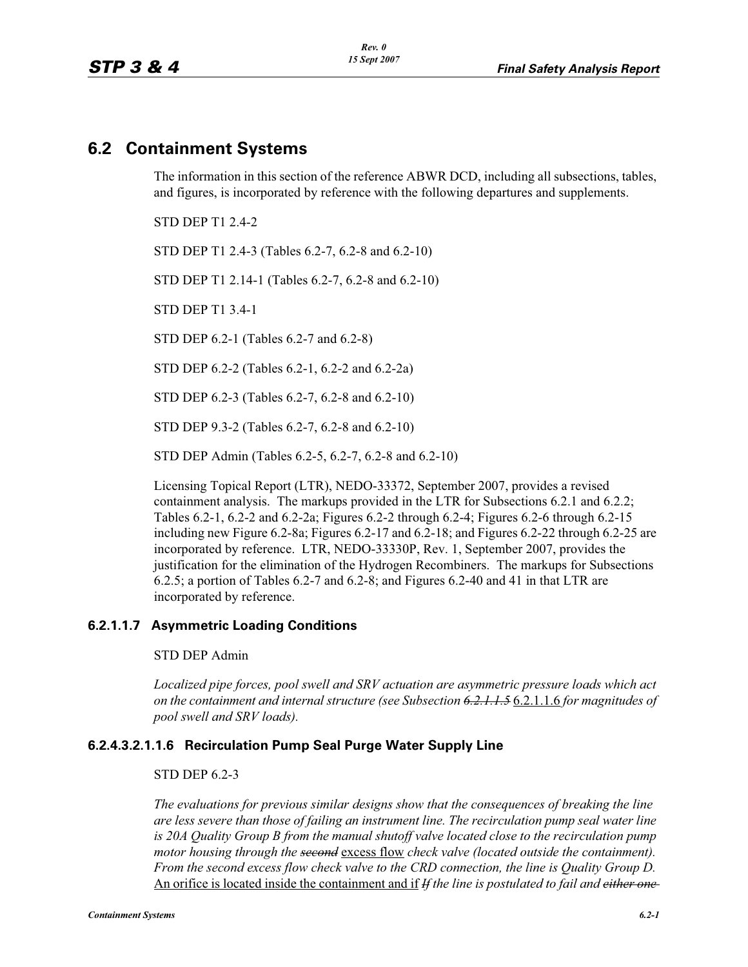# **6.2 Containment Systems**

The information in this section of the reference ABWR DCD, including all subsections, tables, and figures, is incorporated by reference with the following departures and supplements.

STD DEP T1 2.4-2

STD DEP T1 2.4-3 (Tables 6.2-7, 6.2-8 and 6.2-10)

STD DEP T1 2.14-1 (Tables 6.2-7, 6.2-8 and 6.2-10)

STD DEP T1 3.4-1

STD DEP 6.2-1 (Tables 6.2-7 and 6.2-8)

STD DEP 6.2-2 (Tables 6.2-1, 6.2-2 and 6.2-2a)

STD DEP 6.2-3 (Tables 6.2-7, 6.2-8 and 6.2-10)

STD DEP 9.3-2 (Tables 6.2-7, 6.2-8 and 6.2-10)

STD DEP Admin (Tables 6.2-5, 6.2-7, 6.2-8 and 6.2-10)

Licensing Topical Report (LTR), NEDO-33372, September 2007, provides a revised containment analysis. The markups provided in the LTR for Subsections 6.2.1 and 6.2.2; Tables 6.2-1, 6.2-2 and 6.2-2a; Figures 6.2-2 through 6.2-4; Figures 6.2-6 through 6.2-15 including new Figure 6.2-8a; Figures 6.2-17 and 6.2-18; and Figures 6.2-22 through 6.2-25 are incorporated by reference. LTR, NEDO-33330P, Rev. 1, September 2007, provides the justification for the elimination of the Hydrogen Recombiners. The markups for Subsections 6.2.5; a portion of Tables 6.2-7 and 6.2-8; and Figures 6.2-40 and 41 in that LTR are incorporated by reference.

### **6.2.1.1.7 Asymmetric Loading Conditions**

STD DEP Admin

*Localized pipe forces, pool swell and SRV actuation are asymmetric pressure loads which act on the containment and internal structure (see Subsection 6.2.1.1.5* 6.2.1.1.6 *for magnitudes of pool swell and SRV loads).*

### **6.2.4.3.2.1.1.6 Recirculation Pump Seal Purge Water Supply Line**

### STD DEP 6.2-3

*The evaluations for previous similar designs show that the consequences of breaking the line are less severe than those of failing an instrument line. The recirculation pump seal water line is 20A Quality Group B from the manual shutoff valve located close to the recirculation pump motor housing through the second* excess flow *check valve (located outside the containment). From the second excess flow check valve to the CRD connection, the line is Quality Group D.*  An orifice is located inside the containment and if *If the line is postulated to fail and either one*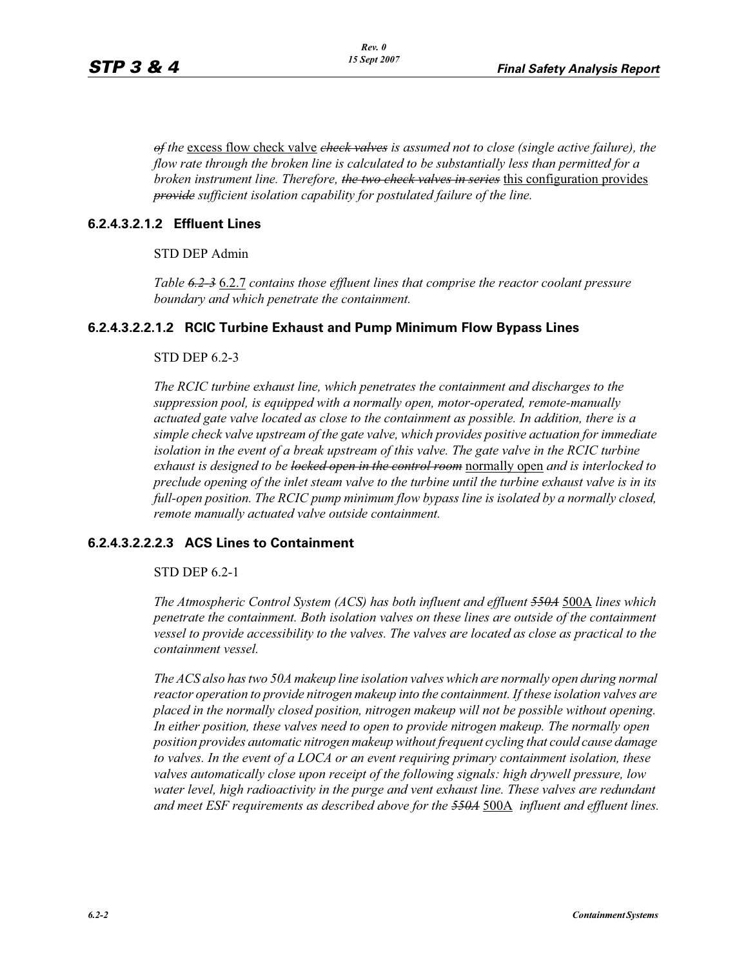*of the* excess flow check valve *check valves is assumed not to close (single active failure), the flow rate through the broken line is calculated to be substantially less than permitted for a broken instrument line. Therefore, the two check valves in series* this configuration provides *provide sufficient isolation capability for postulated failure of the line.*

### **6.2.4.3.2.1.2 Effluent Lines**

STD DEP Admin

*Table 6.2-3* 6.2.7 *contains those effluent lines that comprise the reactor coolant pressure boundary and which penetrate the containment.*

### **6.2.4.3.2.2.1.2 RCIC Turbine Exhaust and Pump Minimum Flow Bypass Lines**

### STD DEP 6.2-3

*The RCIC turbine exhaust line, which penetrates the containment and discharges to the suppression pool, is equipped with a normally open, motor-operated, remote-manually actuated gate valve located as close to the containment as possible. In addition, there is a simple check valve upstream of the gate valve, which provides positive actuation for immediate isolation in the event of a break upstream of this valve. The gate valve in the RCIC turbine exhaust is designed to be locked open in the control room* normally open *and is interlocked to preclude opening of the inlet steam valve to the turbine until the turbine exhaust valve is in its full-open position. The RCIC pump minimum flow bypass line is isolated by a normally closed, remote manually actuated valve outside containment.*

### **6.2.4.3.2.2.2.3 ACS Lines to Containment**

STD DEP 6.2-1

*The Atmospheric Control System (ACS) has both influent and effluent 550A* 500A *lines which penetrate the containment. Both isolation valves on these lines are outside of the containment vessel to provide accessibility to the valves. The valves are located as close as practical to the containment vessel.* 

*The ACS also has two 50A makeup line isolation valves which are normally open during normal reactor operation to provide nitrogen makeup into the containment. If these isolation valves are placed in the normally closed position, nitrogen makeup will not be possible without opening. In either position, these valves need to open to provide nitrogen makeup. The normally open position provides automatic nitrogen makeup without frequent cycling that could cause damage to valves. In the event of a LOCA or an event requiring primary containment isolation, these valves automatically close upon receipt of the following signals: high drywell pressure, low water level, high radioactivity in the purge and vent exhaust line. These valves are redundant and meet ESF requirements as described above for the 550A* 500A *influent and effluent lines.*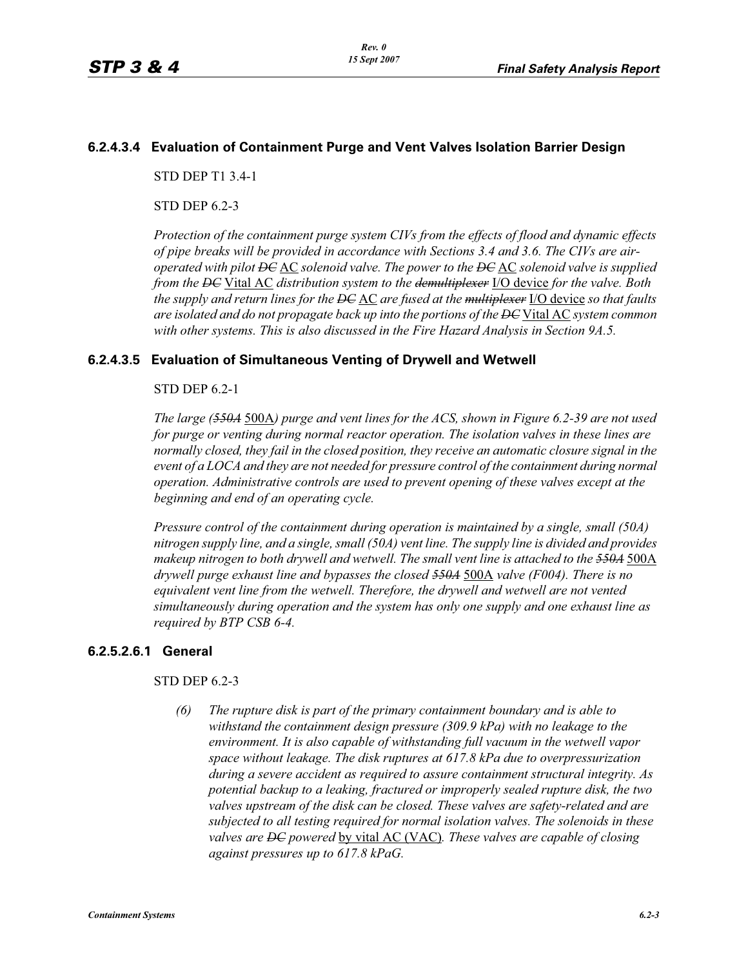### **6.2.4.3.4 Evaluation of Containment Purge and Vent Valves Isolation Barrier Design**

STD DEP T1 3.4-1

STD DEP 6.2-3

*Protection of the containment purge system CIVs from the effects of flood and dynamic effects of pipe breaks will be provided in accordance with Sections 3.4 and 3.6. The CIVs are airoperated with pilot DC* AC *solenoid valve. The power to the DC* AC *solenoid valve is supplied from the DC* Vital AC *distribution system to the demultiplexer* I/O device *for the valve. Both the supply and return lines for the DC* AC *are fused at the multiplexer* I/O device *so that faults are isolated and do not propagate back up into the portions of the DC* Vital AC *system common with other systems. This is also discussed in the Fire Hazard Analysis in Section 9A.5.*

### **6.2.4.3.5 Evaluation of Simultaneous Venting of Drywell and Wetwell**

### STD DEP 6.2-1

*The large (550A* 500A*) purge and vent lines for the ACS, shown in Figure 6.2-39 are not used for purge or venting during normal reactor operation. The isolation valves in these lines are normally closed, they fail in the closed position, they receive an automatic closure signal in the event of a LOCA and they are not needed for pressure control of the containment during normal operation. Administrative controls are used to prevent opening of these valves except at the beginning and end of an operating cycle.*

*Pressure control of the containment during operation is maintained by a single, small (50A) nitrogen supply line, and a single, small (50A) vent line. The supply line is divided and provides makeup nitrogen to both drywell and wetwell. The small vent line is attached to the 550A* 500A *drywell purge exhaust line and bypasses the closed 550A* 500A *valve (F004). There is no equivalent vent line from the wetwell. Therefore, the drywell and wetwell are not vented simultaneously during operation and the system has only one supply and one exhaust line as required by BTP CSB 6-4.*

### **6.2.5.2.6.1 General**

### STD DEP 6.2-3

*(6) The rupture disk is part of the primary containment boundary and is able to withstand the containment design pressure (309.9 kPa) with no leakage to the environment. It is also capable of withstanding full vacuum in the wetwell vapor space without leakage. The disk ruptures at 617.8 kPa due to overpressurization during a severe accident as required to assure containment structural integrity. As potential backup to a leaking, fractured or improperly sealed rupture disk, the two valves upstream of the disk can be closed. These valves are safety-related and are subjected to all testing required for normal isolation valves. The solenoids in these valves are DC powered* by vital AC (VAC)*. These valves are capable of closing against pressures up to 617.8 kPaG.*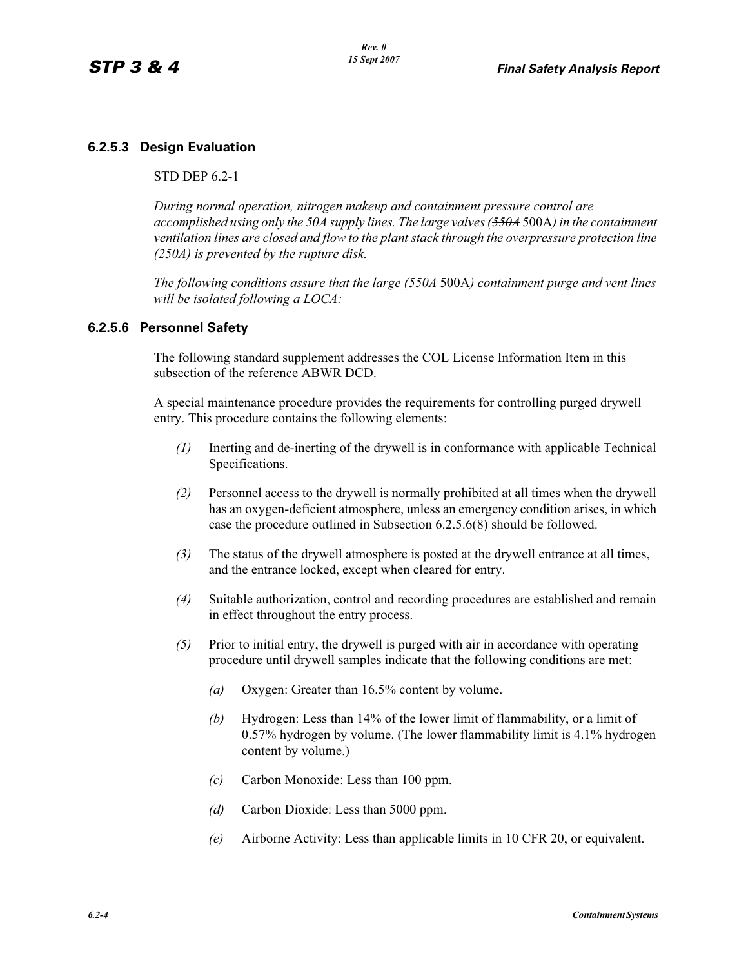### **6.2.5.3 Design Evaluation**

### STD DEP 6.2-1

*During normal operation, nitrogen makeup and containment pressure control are accomplished using only the 50A supply lines. The large valves (550A* 500A*) in the containment ventilation lines are closed and flow to the plant stack through the overpressure protection line (250A) is prevented by the rupture disk.*

*The following conditions assure that the large (550A* 500A*) containment purge and vent lines will be isolated following a LOCA:*

### **6.2.5.6 Personnel Safety**

The following standard supplement addresses the COL License Information Item in this subsection of the reference ABWR DCD.

A special maintenance procedure provides the requirements for controlling purged drywell entry. This procedure contains the following elements:

- *(1)* Inerting and de-inerting of the drywell is in conformance with applicable Technical Specifications.
- *(2)* Personnel access to the drywell is normally prohibited at all times when the drywell has an oxygen-deficient atmosphere, unless an emergency condition arises, in which case the procedure outlined in Subsection 6.2.5.6(8) should be followed.
- *(3)* The status of the drywell atmosphere is posted at the drywell entrance at all times, and the entrance locked, except when cleared for entry.
- *(4)* Suitable authorization, control and recording procedures are established and remain in effect throughout the entry process.
- *(5)* Prior to initial entry, the drywell is purged with air in accordance with operating procedure until drywell samples indicate that the following conditions are met:
	- *(a)* Oxygen: Greater than 16.5% content by volume.
	- *(b)* Hydrogen: Less than 14% of the lower limit of flammability, or a limit of 0.57% hydrogen by volume. (The lower flammability limit is 4.1% hydrogen content by volume.)
	- *(c)* Carbon Monoxide: Less than 100 ppm.
	- *(d)* Carbon Dioxide: Less than 5000 ppm.
	- *(e)* Airborne Activity: Less than applicable limits in 10 CFR 20, or equivalent.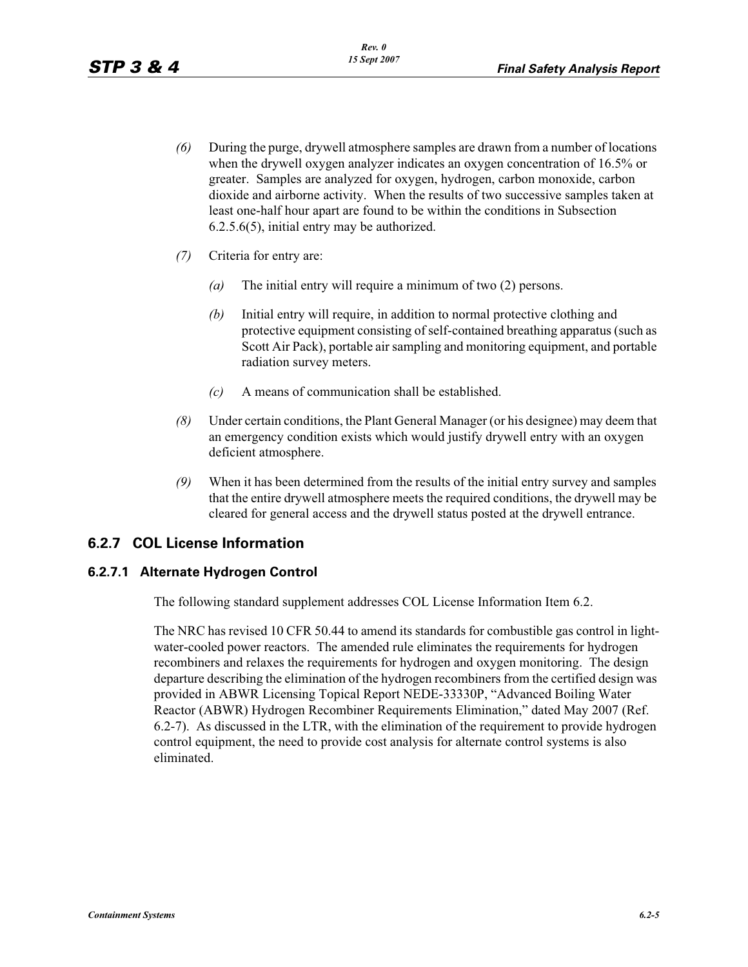- *(6)* During the purge, drywell atmosphere samples are drawn from a number of locations when the drywell oxygen analyzer indicates an oxygen concentration of 16.5% or greater. Samples are analyzed for oxygen, hydrogen, carbon monoxide, carbon dioxide and airborne activity. When the results of two successive samples taken at least one-half hour apart are found to be within the conditions in Subsection 6.2.5.6(5), initial entry may be authorized.
- *(7)* Criteria for entry are:
	- *(a)* The initial entry will require a minimum of two (2) persons.
	- *(b)* Initial entry will require, in addition to normal protective clothing and protective equipment consisting of self-contained breathing apparatus (such as Scott Air Pack), portable air sampling and monitoring equipment, and portable radiation survey meters.
	- *(c)* A means of communication shall be established.
- *(8)* Under certain conditions, the Plant General Manager (or his designee) may deem that an emergency condition exists which would justify drywell entry with an oxygen deficient atmosphere.
- *(9)* When it has been determined from the results of the initial entry survey and samples that the entire drywell atmosphere meets the required conditions, the drywell may be cleared for general access and the drywell status posted at the drywell entrance.

### **6.2.7 COL License Information**

### **6.2.7.1 Alternate Hydrogen Control**

The following standard supplement addresses COL License Information Item 6.2.

The NRC has revised 10 CFR 50.44 to amend its standards for combustible gas control in lightwater-cooled power reactors. The amended rule eliminates the requirements for hydrogen recombiners and relaxes the requirements for hydrogen and oxygen monitoring. The design departure describing the elimination of the hydrogen recombiners from the certified design was provided in ABWR Licensing Topical Report NEDE-33330P, "Advanced Boiling Water Reactor (ABWR) Hydrogen Recombiner Requirements Elimination," dated May 2007 (Ref. 6.2-7). As discussed in the LTR, with the elimination of the requirement to provide hydrogen control equipment, the need to provide cost analysis for alternate control systems is also eliminated.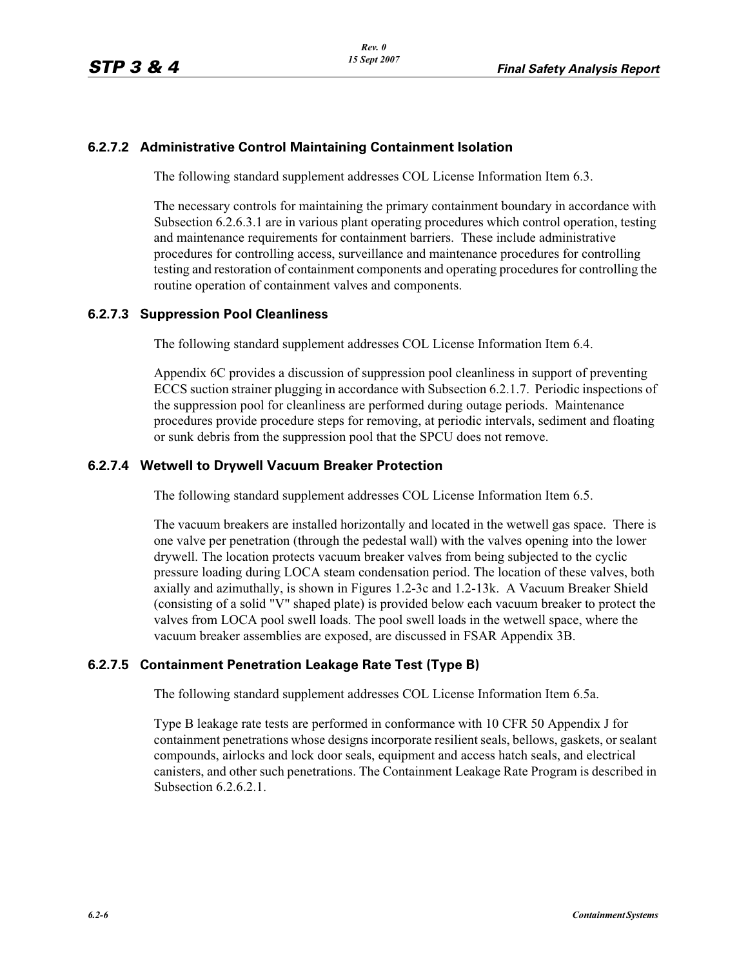### **6.2.7.2 Administrative Control Maintaining Containment Isolation**

The following standard supplement addresses COL License Information Item 6.3.

The necessary controls for maintaining the primary containment boundary in accordance with Subsection 6.2.6.3.1 are in various plant operating procedures which control operation, testing and maintenance requirements for containment barriers. These include administrative procedures for controlling access, surveillance and maintenance procedures for controlling testing and restoration of containment components and operating procedures for controlling the routine operation of containment valves and components.

### **6.2.7.3 Suppression Pool Cleanliness**

The following standard supplement addresses COL License Information Item 6.4.

Appendix 6C provides a discussion of suppression pool cleanliness in support of preventing ECCS suction strainer plugging in accordance with Subsection 6.2.1.7. Periodic inspections of the suppression pool for cleanliness are performed during outage periods. Maintenance procedures provide procedure steps for removing, at periodic intervals, sediment and floating or sunk debris from the suppression pool that the SPCU does not remove.

### **6.2.7.4 Wetwell to Drywell Vacuum Breaker Protection**

The following standard supplement addresses COL License Information Item 6.5.

The vacuum breakers are installed horizontally and located in the wetwell gas space. There is one valve per penetration (through the pedestal wall) with the valves opening into the lower drywell. The location protects vacuum breaker valves from being subjected to the cyclic pressure loading during LOCA steam condensation period. The location of these valves, both axially and azimuthally, is shown in Figures 1.2-3c and 1.2-13k. A Vacuum Breaker Shield (consisting of a solid "V" shaped plate) is provided below each vacuum breaker to protect the valves from LOCA pool swell loads. The pool swell loads in the wetwell space, where the vacuum breaker assemblies are exposed, are discussed in FSAR Appendix 3B.

### **6.2.7.5 Containment Penetration Leakage Rate Test (Type B)**

The following standard supplement addresses COL License Information Item 6.5a.

Type B leakage rate tests are performed in conformance with 10 CFR 50 Appendix J for containment penetrations whose designs incorporate resilient seals, bellows, gaskets, or sealant compounds, airlocks and lock door seals, equipment and access hatch seals, and electrical canisters, and other such penetrations. The Containment Leakage Rate Program is described in Subsection 6.2.6.2.1.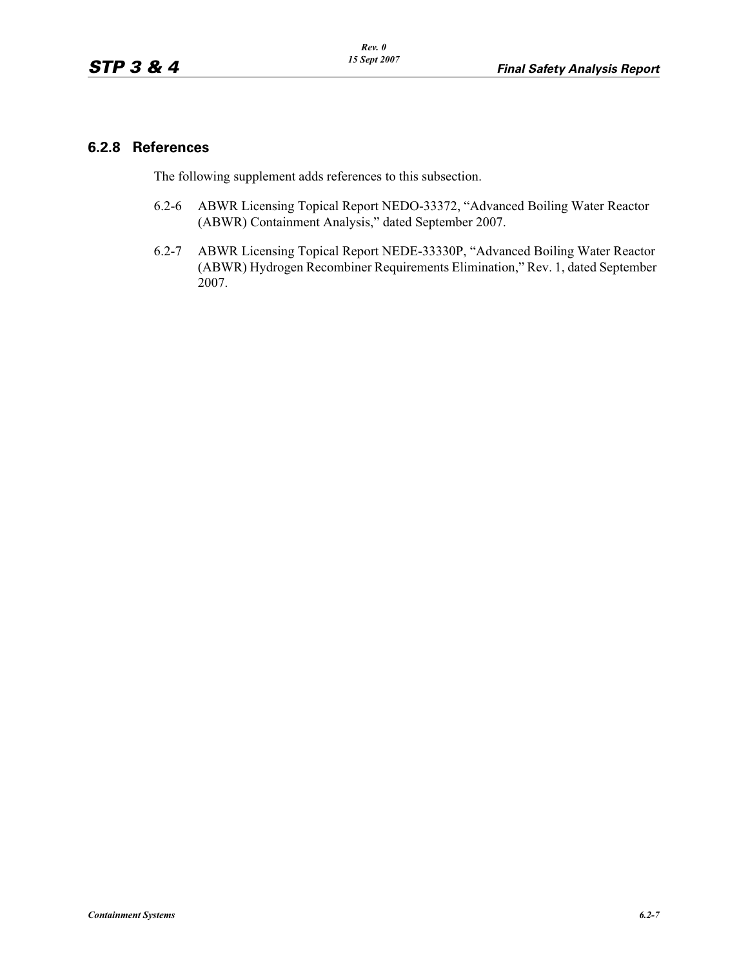### **6.2.8 References**

The following supplement adds references to this subsection.

- 6.2-6 ABWR Licensing Topical Report NEDO-33372, "Advanced Boiling Water Reactor (ABWR) Containment Analysis," dated September 2007.
- 6.2-7 ABWR Licensing Topical Report NEDE-33330P, "Advanced Boiling Water Reactor (ABWR) Hydrogen Recombiner Requirements Elimination," Rev. 1, dated September 2007.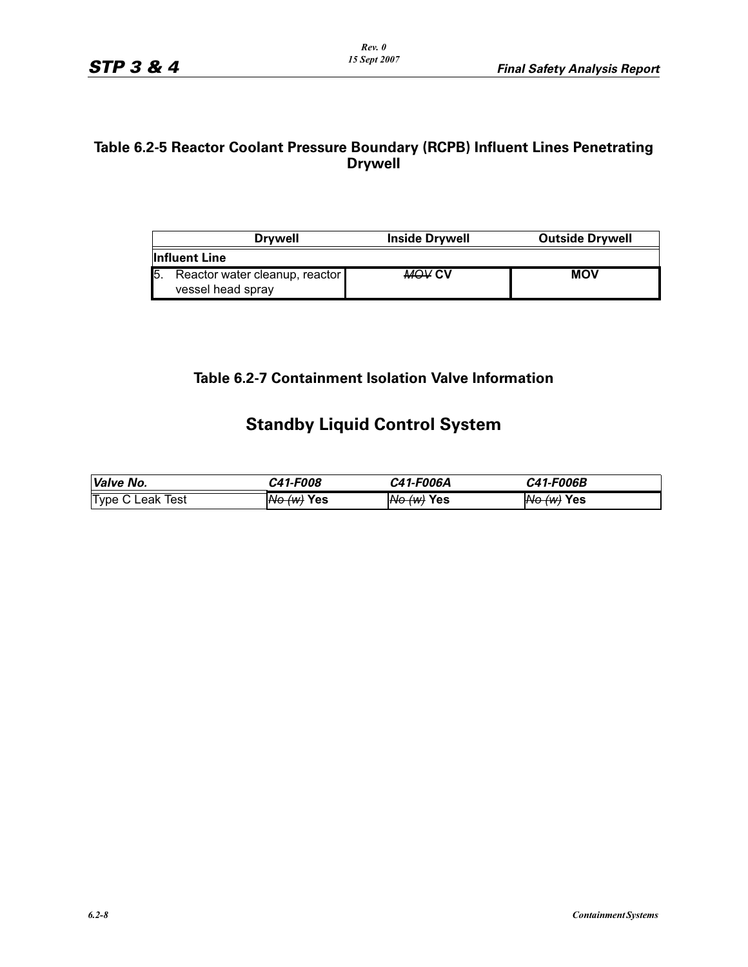### **Table 6.2-5 Reactor Coolant Pressure Boundary (RCPB) Influent Lines Penetrating Drywell**

| <b>Drvwell</b>                                      | <b>Inside Drywell</b> | <b>Outside Drywell</b> |
|-----------------------------------------------------|-----------------------|------------------------|
| <b>Influent Line</b>                                |                       |                        |
| Reactor water cleanup, reactor<br>vessel head spray | <b>MOV CV</b>         | <b>MOV</b>             |

## **Table 6.2-7 Containment Isolation Valve Information**

# **Standby Liquid Control System**

| Valve No.               | <i><b>C41-F008</b></i> | C41-F006A             | C41-F006B         |
|-------------------------|------------------------|-----------------------|-------------------|
| <b>Type C Leak Test</b> | <del>No (w)</del> Yes  | <del>No (w)</del> Yes | $N\Theta$ (w) Yes |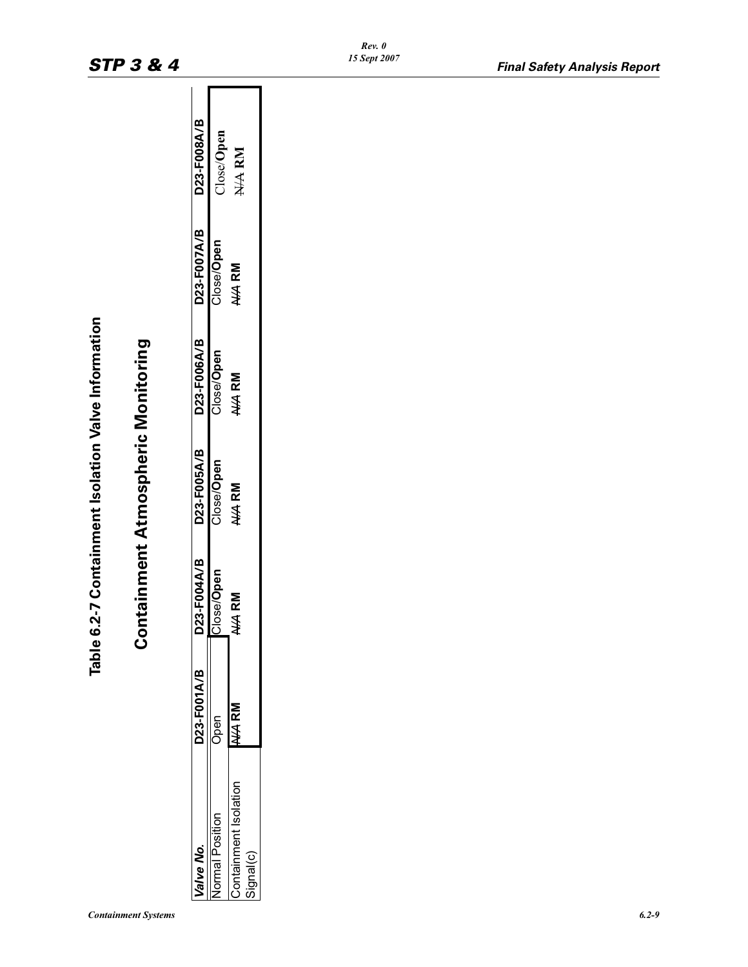| t<br><u>ַ</u>        |  |
|----------------------|--|
| ו<br>י<br>Č          |  |
| $\frac{1}{\epsilon}$ |  |

# **Table 6.2-7 Containment Isolation Valve Information Containment Atmospheric Monitoring Containment Atmospheric Monitoring**

| 'alve No.            | D23-F001A/B | D23-F004A/B | D23-F005A/B | D23-F006A/B | D23-F007A/B | D23-F008A/B |
|----------------------|-------------|-------------|-------------|-------------|-------------|-------------|
| ormal Position       |             | Close/Open  | Close/Open  | Close/Open  | Close/Open  | Close/Open  |
| ontainment Isolation |             | $4$ RM<br>≸ | N/A RM      | N/A RM      | N/A RM      | N/A RM      |
| ignal(c)             |             |             |             |             |             |             |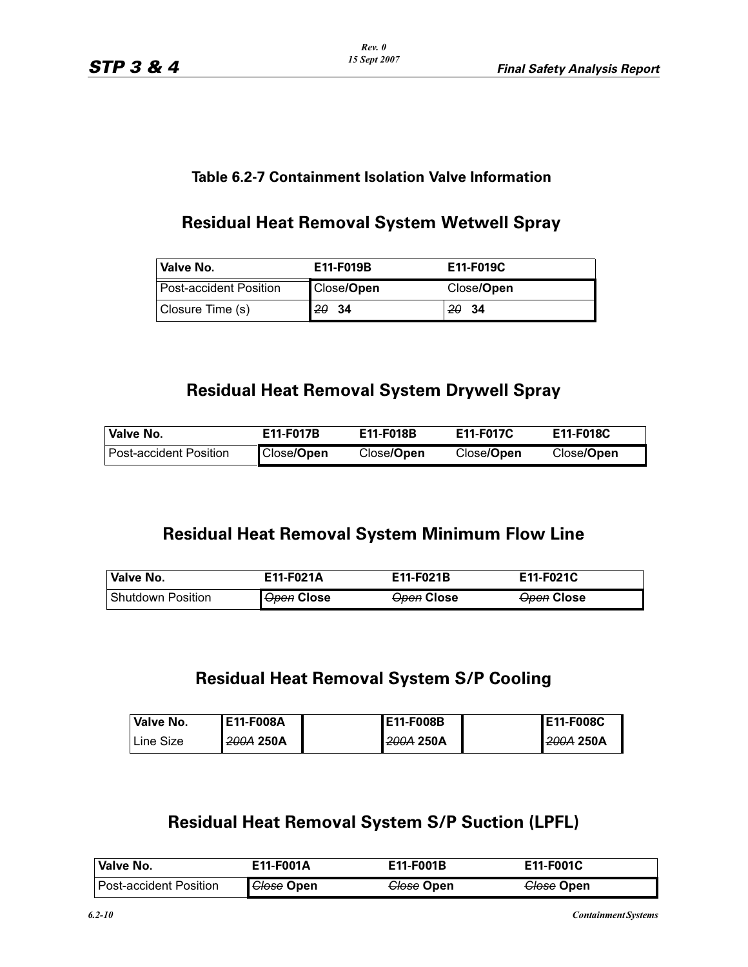*Rev. 0 15 Sept 2007*

### **Table 6.2-7 Containment Isolation Valve Information**

# **Residual Heat Removal System Wetwell Spray**

| <b>Valve No.</b>         | E11-F019B  | E11-F019C  |
|--------------------------|------------|------------|
| l Post-accident Position | Close/Open | Close/Open |
| Closure Time (s)         | 2034       | 20<br>- 34 |

# **Residual Heat Removal System Drywell Spray**

| Valve No.                | E11-F017B  | E11-F018B  | E11-F017C          | E11-F018C          |
|--------------------------|------------|------------|--------------------|--------------------|
| l Post-accident Position | Close/Open | Close/Open | Close/ <b>Open</b> | Close/ <b>Open</b> |

# **Residual Heat Removal System Minimum Flow Line**

| Valve No.           | E11-F021A         | E11-F021B         | E11-F021C         |
|---------------------|-------------------|-------------------|-------------------|
| l Shutdown Position | <b>Open Close</b> | <b>Open Close</b> | <b>Open Close</b> |

# **Residual Heat Removal System S/P Cooling**

| Valve No. | E11-F008A | E11-F008B | <b>IE11-F008C</b> |
|-----------|-----------|-----------|-------------------|
| Line Size | 200A 250A | 200A 250A | 1200A 250A        |

# **Residual Heat Removal System S/P Suction (LPFL)**

| <b>Valve No.</b>       | E11-F001A         | E11-F001B             | E11-F001C             |
|------------------------|-------------------|-----------------------|-----------------------|
| Post-accident Position | <b>Glose Open</b> | <del>Close</del> Open | <del>Close</del> Open |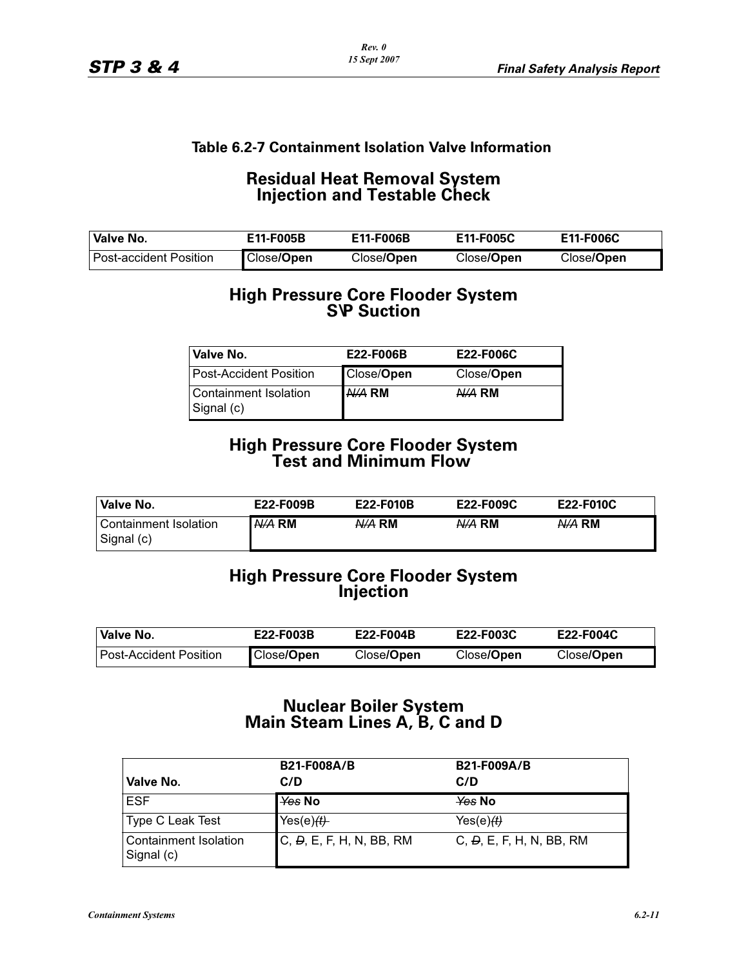### **Residual Heat Removal System Injection and Testable Check**

| Valve No.                     | E11-F005B  | E11-F006B  | E11-F005C  | E11-F006C  |
|-------------------------------|------------|------------|------------|------------|
| <b>Post-accident Position</b> | Close/Open | Close/Open | Close/Open | Close/Open |

# **High Pressure Core Flooder System S\P Suction**

| Valve No.                           | E22-F006B  | <b>E22-F006C</b> |
|-------------------------------------|------------|------------------|
| <b>Post-Accident Position</b>       | Close/Open | Close/Open       |
| Containment Isolation<br>Signal (c) | $A/A$ RM   | $A/A$ RM         |

### **High Pressure Core Flooder System Test and Minimum Flow**

| Valve No.             | E22-F009B | E22-F010B | E22-F009C | E22-F010C |
|-----------------------|-----------|-----------|-----------|-----------|
| Containment Isolation | N/A RM    | N/A RM    | N/A RM    | N/A RM    |
| Signal (c)            |           |           |           |           |

### **High Pressure Core Flooder System Injection**

| Valve No.                | E22-F003B  | E22-F004B  | <b>E22-F003C</b>   | E22-F004C          |
|--------------------------|------------|------------|--------------------|--------------------|
| l Post-Accident Position | Close/Open | Close/Open | Close/ <b>Open</b> | Close/ <b>Open</b> |

### **Nuclear Boiler System Main Steam Lines A, B, C and D**

| Valve No.                           | <b>B21-F008A/B</b><br>C/D | <b>B21-F009A/B</b><br>C/D              |
|-------------------------------------|---------------------------|----------------------------------------|
| <b>ESF</b>                          | l <del>Yes</del> No       | $\chi$ es No                           |
| Type C Leak Test                    | Yes $(e)$ $(E)$           | Yes(e) $\left(\frac{1}{2}\right)$      |
| Containment Isolation<br>Signal (c) | C, D, E, F, H, N, BB, RM  | C, $\overline{D}$ , E, F, H, N, BB, RM |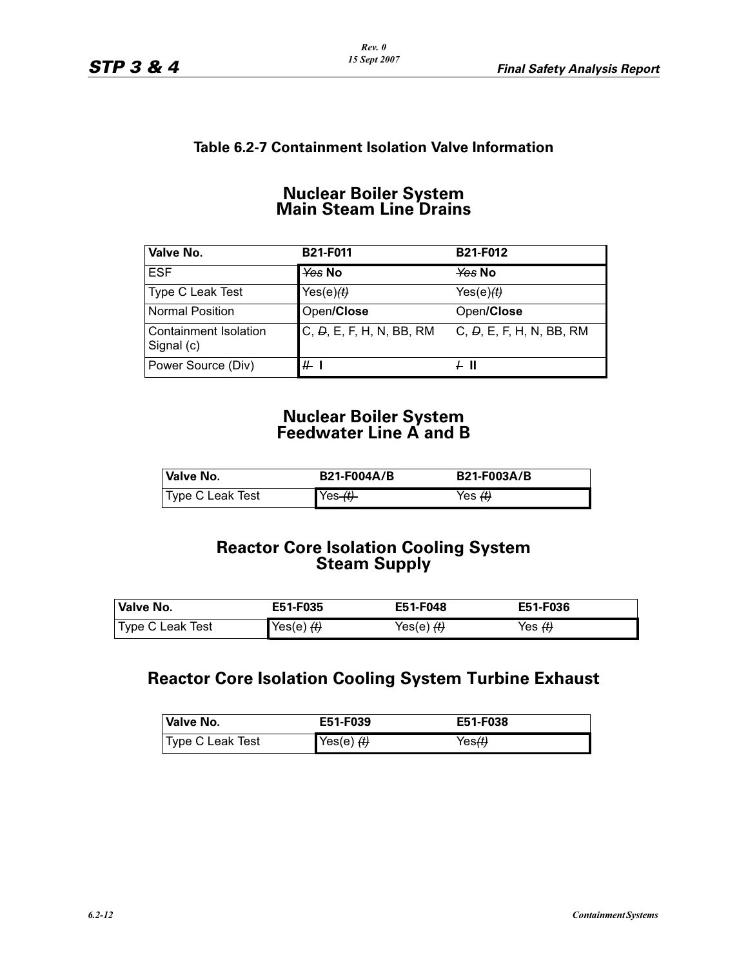### **Nuclear Boiler System Main Steam Line Drains**

| Valve No.                           | <b>B21-F011</b>          | <b>B21-F012</b>             |
|-------------------------------------|--------------------------|-----------------------------|
| <b>ESF</b>                          | $\frac{1}{2}$ Yes No     | $\frac{1}{2}$ Mo            |
| Type C Leak Test                    | Yes $(e)$ $(E)$          | Yes(e) <del>(t)</del>       |
| <b>Normal Position</b>              | Open/Close               | Open/Close                  |
| Containment Isolation<br>Signal (c) | C, D, E, F, H, N, BB, RM | C, $D$ , E, F, H, N, BB, RM |
| Power Source (Div)                  | $#$ 1                    | + II                        |

### **Nuclear Boiler System Feedwater Line A and B**

| Valve No.        | <b>B21-F004A/B</b> | <b>B21-F003A/B</b>                |
|------------------|--------------------|-----------------------------------|
| Type C Leak Test | $Yes_{t}$          | Yes $\left\langle t\right\rangle$ |

# **Reactor Core Isolation Cooling System Steam Supply**

| Valve No.        | E51-F035     | E51-F048 | E51-F036                  |
|------------------|--------------|----------|---------------------------|
| Type C Leak Test | $Yes(e)$ $H$ |          | Yes <del><i>(t)</i></del> |

# **Reactor Core Isolation Cooling System Turbine Exhaust**

| <b>Valve No.</b> | E51-F039   | E51-F038           |
|------------------|------------|--------------------|
| Type C Leak Test | Yes(e) $H$ | Yes <del>(t)</del> |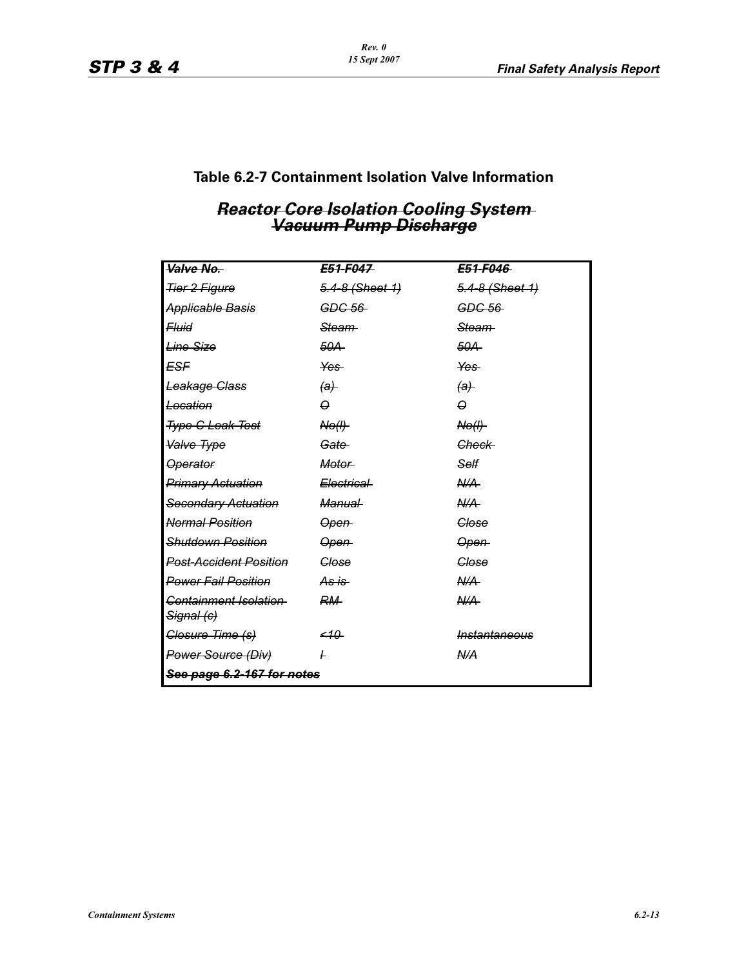*Rev. 0 15 Sept 2007*

# **Table 6.2-7 Containment Isolation Valve Information**

# *Vacuum Pump Discharge Vacuum Pump Discharge*

| Valve No.                           | E51-F047           | E51-F046           |  |  |
|-------------------------------------|--------------------|--------------------|--|--|
| <b>Tier 2 Figure</b>                | $5.4-8$ (Sheet 1)  | 5.4-8 (Sheet 1)    |  |  |
| <b>Applicable Basis</b>             | GDC 56             | GDC 56             |  |  |
| <b>Fluid</b>                        | <del>Steam</del>   | <del>Steam</del>   |  |  |
| <b>Line Size</b>                    | 50A                | 50A                |  |  |
| ESF                                 | Yes-               | Yes-               |  |  |
| Leakage Class                       | $\left( a\right)$  | $\theta$           |  |  |
| Location                            | $\Omega$           | $\Theta$           |  |  |
| <b>Type C Leak Test</b>             | N <sub>0</sub> (I) | N <sub>0</sub> (I) |  |  |
| Valve Type                          | Gate               | Check              |  |  |
| <b>Operator</b>                     | Motor-             | Self               |  |  |
| <b>Primary Actuation</b>            | Electrical         | A/A                |  |  |
| Secondary Actuation                 | <i>Manual</i>      | A/A                |  |  |
| <b>Normal Position</b>              | Open-              | Glose              |  |  |
| <b>Shutdown Position</b>            | <del>Open</del>    | <del>Open</del>    |  |  |
| <b>Post-Accident Position</b>       | Glose              | Close              |  |  |
| <b>Power Fail Position</b>          | $As is -$          | A/A                |  |  |
| Containment Isolation<br>Signal (c) | RM-                | A/A                |  |  |
| Closure Time (s)                    | $-10$              | Instantaneous      |  |  |
| Power Source (Div)                  | $\overline{r}$     | N/A                |  |  |
| See page 6.2-167 for notes          |                    |                    |  |  |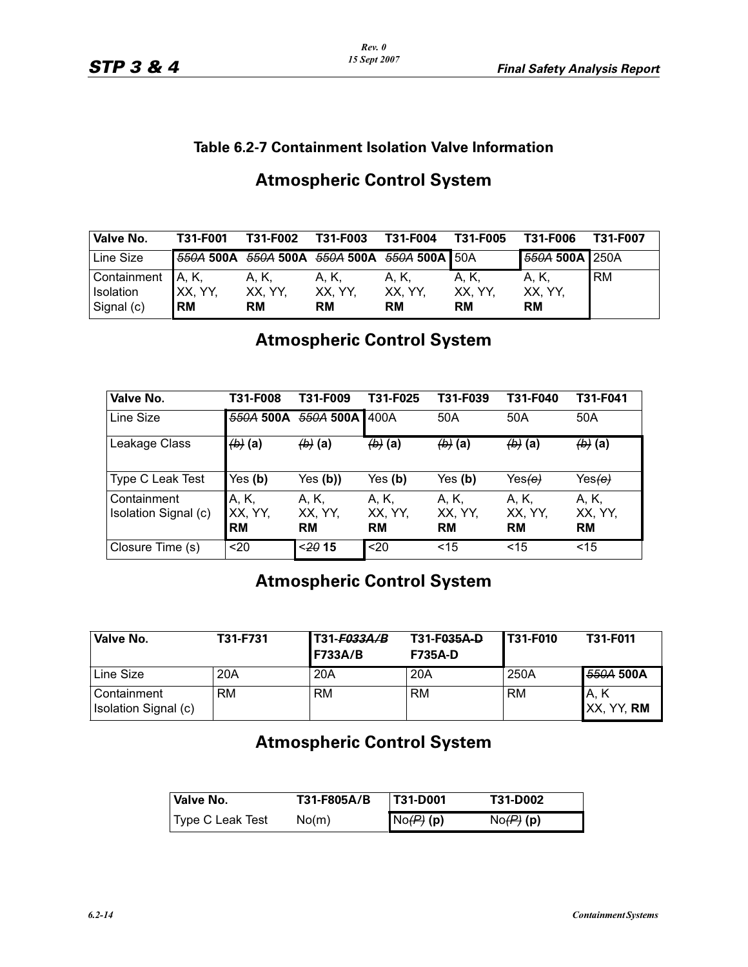| Valve No.         | T31-F001   | T31-F002                                    | <b>T31-F003</b> | T31-F004 | T31-F005  | T31-F006       | T31-F007  |
|-------------------|------------|---------------------------------------------|-----------------|----------|-----------|----------------|-----------|
| Line Size         |            | 550A 500A 550A 500A 550A 500A 550A 500A 50A |                 |          |           | 550A 500A 250A |           |
| Containment A, K, |            | A. K.                                       | A. K.           | A. K.    | A. K.     | A, K,          | <b>RM</b> |
| Isolation         | XX, YY,    | XX, YY,                                     | XX, YY,         | XX. YY.  | XX, YY,   | XX, YY,        |           |
| Signal (c)        | <b>IRM</b> | <b>RM</b>                                   | <b>RM</b>       | RM       | <b>RM</b> | <b>RM</b>      |           |

# **Atmospheric Control System**

# **Atmospheric Control System**

| Valve No.                           | T31-F008                      | T31-F009                      | T31-F025                      | T31-F039                      | T31-F040                      | T31-F041                      |
|-------------------------------------|-------------------------------|-------------------------------|-------------------------------|-------------------------------|-------------------------------|-------------------------------|
| l Line Size                         | 550A 500A                     | 550A 500A                     | 400A                          | 50A                           | 50A                           | 50A                           |
| Leakage Class                       | $\left(\mathbf{b}\right)$ (a) | $\left(\mathbf{b}\right)$ (a) | $\left(\mathbf{b}\right)$ (a) | $\left(\mathbf{b}\right)$ (a) | $\left(\mathbf{b}\right)$ (a) | $\left(\mathbf{b}\right)$ (a) |
| Type C Leak Test                    | Yes $(b)$                     | Yes $(b)$ )                   | Yes (b)                       | Yes ( <b>b</b> )              | Yes <del>(e)</del>            | Yes <del>(e)</del>            |
| Containment<br>Isolation Signal (c) | A, K,<br>XX, YY,<br><b>RM</b> | A, K,<br>XX, YY,<br><b>RM</b> | A, K,<br>XX, YY,<br><b>RM</b> | A, K,<br>XX, YY,<br><b>RM</b> | A, K,<br>XX, YY,<br><b>RM</b> | A, K,<br>XX, YY,<br><b>RM</b> |
| Closure Time (s)                    | $20$                          | < 2015                        | $20$                          | $<$ 15                        | $<$ 15                        | $<$ 15                        |

# **Atmospheric Control System**

| Valve No.                                  | T31-F731 | T31-F033A/B<br><b>F733A/B</b> | T31-F035A-D<br><b>F735A-D</b> | <b>IT31-F010</b> | T31-F011            |
|--------------------------------------------|----------|-------------------------------|-------------------------------|------------------|---------------------|
| Line Size                                  | 20A      | 20A                           | 20A                           | 250A             | 550A 500A           |
| <b>Containment</b><br>Isolation Signal (c) | RM       | RM                            | RM                            | RM               | IA. K<br>XX, YY, RM |

# **Atmospheric Control System**

| Valve No.        | T31-F805A/B | <b>T31-D001</b> | T31-D002    |
|------------------|-------------|-----------------|-------------|
| Type C Leak Test | No(m)       | $NofP$ (p)      | $No(P)$ (p) |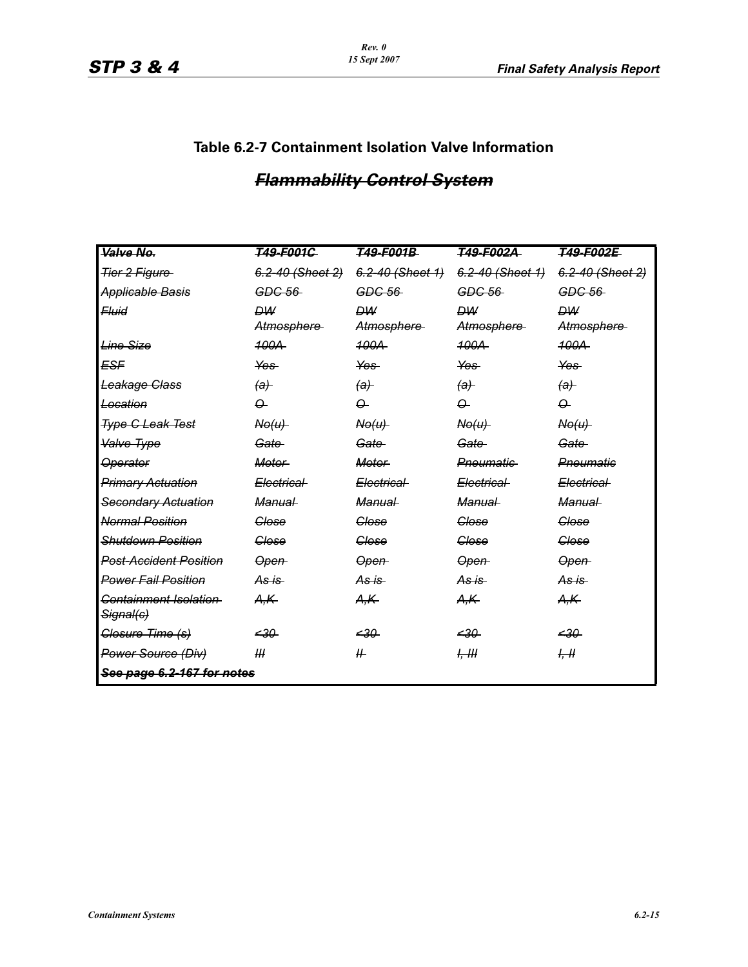# *Flammability Control System*

| Valve No.                                     | <b>T49-F001G</b> | <del>T49-F001B</del>      | T49-F002A                 | <b>T49-F002E</b>      |  |
|-----------------------------------------------|------------------|---------------------------|---------------------------|-----------------------|--|
| Tier 2 Figure                                 | 6.2-40 (Sheet 2) | 6.2-40 (Sheet 1)          | 6.2-40 (Sheet 1)          | 6.2-40 (Sheet 2)      |  |
| <b>Applicable Basis</b>                       | GDC 56           | GDC 56                    | GDC 56                    | GDC 56                |  |
| <del>Fluid</del>                              | <b>DW</b>        | <b>DW</b>                 | <b>DW</b>                 | <b>DW</b>             |  |
|                                               | Atmosphere-      | Atmosphere-               | Atmosphere-               | Atmosphere-           |  |
| Line Size                                     | 100A             | 100A                      | 100A                      | <b>100A</b>           |  |
| ESF                                           | Yes-             | Yes-                      | Yes-                      | Yes-                  |  |
| Leakage Class                                 | $\theta$         | $\left(\mathrm{a}\right)$ | $\left(\mathrm{a}\right)$ | $\left(\theta\right)$ |  |
| Location                                      | $\Omega$         | $\Omega$                  | $\Omega$                  | $\varphi$             |  |
| <b>Type G Leak Test</b>                       | $A\Theta(u)$     | N <sub>0</sub> (u)        | N <sub>0</sub> (u)        | N <sub>0</sub> (u)    |  |
| Valve Type                                    | Gate-            | Gate-                     | Gate-                     | Gate-                 |  |
| <b>Operator</b>                               | <b>Motor</b>     | <b>Motor</b>              | Pneumatic                 | Pneumatic             |  |
| <b>Primary Actuation</b>                      | Electrical-      | Electrical-               | Electrical-               | Electrical            |  |
| Secondary Actuation                           | <b>Manual</b>    | <b>Manual</b>             | <b>Manual</b>             | <b>Manual</b>         |  |
| <b>Normal Position</b>                        | Close            | Close                     | Close                     | Close                 |  |
| <b>Shutdown Position</b>                      | <b>Glose</b>     | <b>Glose</b>              | <b>Glose</b>              | Glose                 |  |
| <b>Post-Accident Position</b>                 | Open-            | Open-                     | <del>Open</del>           | Open-                 |  |
| <b>Power Fail Position</b>                    | As is            | As is                     | As is                     | As is                 |  |
| Containment Isolation<br><del>Signal(c)</del> | A,K              | A,K-                      | A,K                       | A,K                   |  |
| Glosure Time (s)                              | -30              | ججھ                       | $-30$                     | $-30$                 |  |
| Power Source (Div)                            | Ш                | #                         | H, H                      | H, H                  |  |
| See page 6.2-167 for notes                    |                  |                           |                           |                       |  |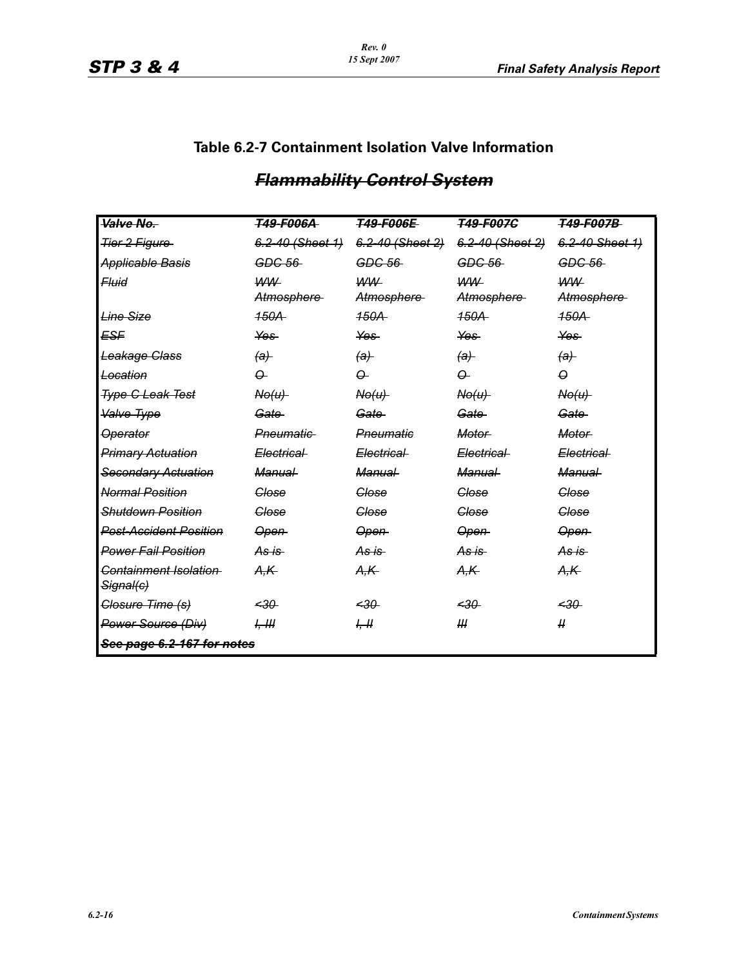| Valve No.                                      | <b>T49-F006A</b>   | <b>T49-F006E</b>   | T49-F007C          | <b>T49-F007B</b> |
|------------------------------------------------|--------------------|--------------------|--------------------|------------------|
| Tier 2 Figure                                  | 6.2-40 (Sheet 1)   | 6.2-40 (Sheet 2)   | 6.2-40 (Sheet 2)   | 6.2-40 Sheet 1)  |
| Applicable Basis                               | $GDC-56$           | GDC.56             | GDC.56             | GDC 56           |
| <del>Fluid</del>                               | <b>WW</b>          | <b>WW</b>          | <b>WW</b>          | <b>WW</b>        |
|                                                | Atmosphere         | Atmosphere         | Atmosphere         | Atmosphere-      |
| Line Size                                      | <b>150A</b>        | <b>150A</b>        | <b>150A</b>        | 150A             |
| ESF                                            | Yes-               | Yes-               | Yes-               | <del>Yes</del>   |
| Leakage Class                                  | $\theta$           | $\theta$           | $\theta$           | $\theta$         |
| Location                                       | $\Theta$           | $\Omega$           | $\Omega$           | 0                |
| <b>Type G Leak Test</b>                        | N <sub>0</sub> (u) | N <sub>0</sub> (u) | N <sub>0</sub> (u) | $A\Theta(u)$     |
| Valve Type                                     | Gate-              | Gate               | Gate               | Gate-            |
| <b>Operator</b>                                | Pneumatic          | Pneumatic          | <b>Motor</b>       | <b>Motor</b>     |
| <b>Primary Actuation</b>                       | Electrical-        | Electrical-        | Electrical-        | Electrical-      |
| Secondary Actuation                            | <b>Manual</b>      | <b>Manual</b>      | Manual-            | Manual-          |
| Normal Position                                | Close              | Close              | Close              | Close            |
| <b>Shutdown Position</b>                       | Glose              | <b>Glose</b>       | Glose              | Glose            |
| <del>Post Accident Position</del>              | Open-              | Open-              | Open-              | Open-            |
| Power Fail Position                            | As is              | <del>As is</del>   | As is              | <del>As is</del> |
| Containment Isolation-<br><del>Signal(c)</del> | A,K                | A,K-               | A,K                | A,K-             |
| Glosure Time (s)                               | $-30$              | $-30$              | $-30$              | $-30$            |
| Power Source (Div)                             | H, H               | H                  | III                | $\mu$            |
| See page 6.2-167 for notes                     |                    |                    |                    |                  |

# *Flammability Control System*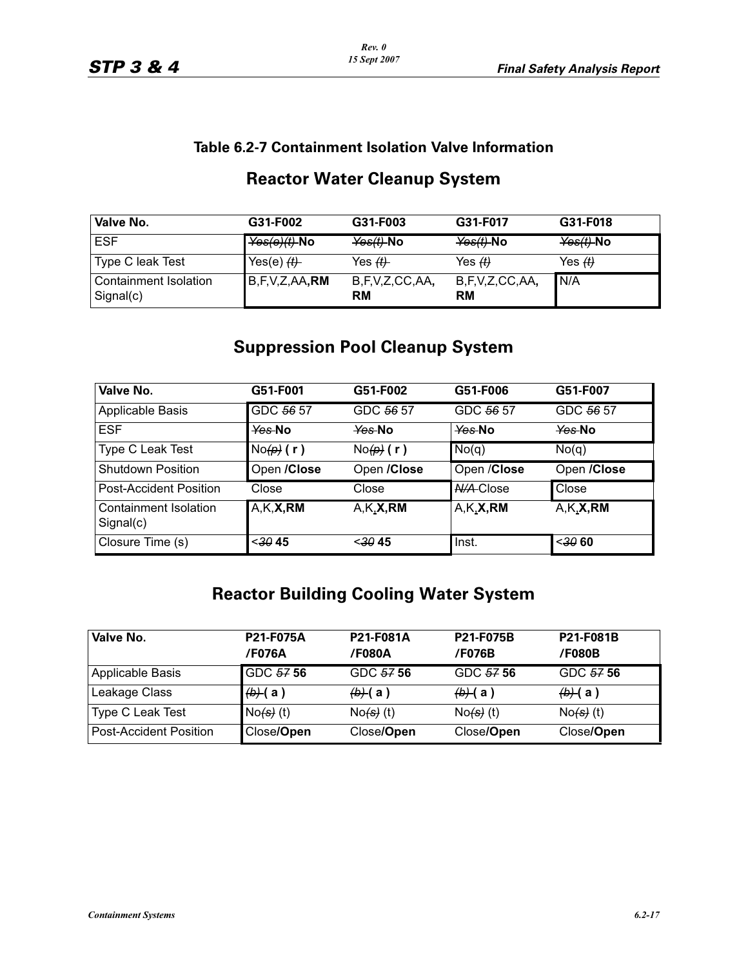| Valve No.                          | G31-F002           | G31-F003                          | G31-F017                    | G31-F018                              |
|------------------------------------|--------------------|-----------------------------------|-----------------------------|---------------------------------------|
| <b>ESF</b>                         | $Yes(e)(t)$ -No    | $\frac{\text{Yes}(t)}{\text{No}}$ | $\text{Yes}(t)$ -No         | $\frac{\mathsf{Yes}(t)}{\mathsf{No}}$ |
| Type C leak Test                   | Yes(e) $H$         | Yes <del>(t)</del>                | Yes $(f)$                   | Yes $H$                               |
| Containment Isolation<br>Signal(c) | B, F, V, Z, AA, RM | B,F,V,Z,CC,AA,<br>RM              | B,F,V,Z,CC,AA,<br><b>RM</b> | IN/A                                  |

# **Reactor Water Cleanup System**

# **Suppression Pool Cleanup System**

| Valve No.                          | G51-F001       | G51-F002       | G51-F006         | G51-F007    |
|------------------------------------|----------------|----------------|------------------|-------------|
| Applicable Basis                   | GDC 56 57      | GDC 56 57      | GDC 56 57        | GDC 56 57   |
| <b>ESF</b>                         | Yes No         | Yes No         | Yes No           | Yes No      |
| Type C Leak Test                   | $No(\rho)$ (r) | $No(\rho)$ (r) | No(q)            | No(q)       |
| <b>Shutdown Position</b>           | Open /Close    | Open /Close    | Open / Close     | Open /Close |
| <b>Post-Accident Position</b>      | Close          | Close          | <b>N/A-Close</b> | Close       |
| Containment Isolation<br>Signal(c) | A,K,X,RM       | A,K,X,RM       | $A,K_{x}X, RM$   | A,K,X,RM    |
| Closure Time (s)                   | <,3045         | <,3045         | Inst.            | $30$ 60     |

# **Reactor Building Cooling Water System**

| Valve No.              | <b>P21-F075A</b><br><b>/F076A</b> | <b>P21-F081A</b><br>/F080A | <b>P21-F075B</b><br>/F076B     | P21-F081B<br>/F080B |
|------------------------|-----------------------------------|----------------------------|--------------------------------|---------------------|
| Applicable Basis       | GDC 57 56                         | GDC 57 56                  | GDC 57 56                      | GDC 57 56           |
| Leakage Class          | $\left(\frac{b}{c}\right)$ (a)    | <del>(b) (</del> a )       | $\left(\frac{b}{c}\right)$ (a) | $(b)$ (a)           |
| Type C Leak Test       | $No(s)$ (t)                       | $No(s)$ (t)                | $No(s)$ (t)                    | $No(s)$ (t)         |
| Post-Accident Position | Close/Open                        | Close/Open                 | Close/Open                     | Close/Open          |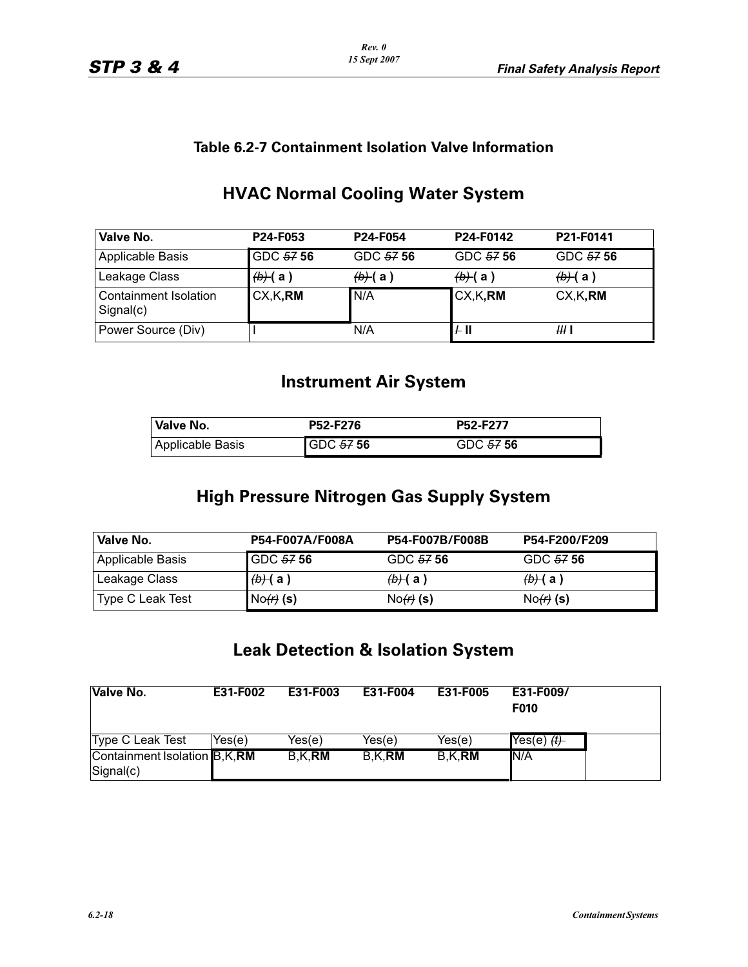| Valve No.                                 | P24-F053  | P <sub>24</sub> -F <sub>054</sub> | P24-F0142          | P21-F0141                      |
|-------------------------------------------|-----------|-----------------------------------|--------------------|--------------------------------|
| Applicable Basis                          | GDC 57 56 | GDC 57 56                         | GDC 57 56          | GDC 57 56                      |
| Leakage Class                             | $(b)$ (a) | $\left(\frac{b}{c}\right)$ (a)    | <del>(b) (</del> a | $\left(\frac{b}{c}\right)$ (a) |
| <b>Containment Isolation</b><br>Signal(c) | CX, K, RM | N/A                               | CX, K, RM          | CX, K, RM                      |
| Power Source (Div)                        |           | N/A                               | $+$ II             | HH 1                           |

# **HVAC Normal Cooling Water System**

# **Instrument Air System**

| Valve No.        | <b>P52-F276</b> | P52-F277  |
|------------------|-----------------|-----------|
| Applicable Basis | GDC 57 56       | GDC 57 56 |

# **High Pressure Nitrogen Gas Supply System**

| Valve No.        | P54-F007A/F008A                | P54-F007B/F008B                | P54-F200/F209                  |
|------------------|--------------------------------|--------------------------------|--------------------------------|
| Applicable Basis | <b>GDC 57 56</b>               | GDC 57 56                      | GDC 57 56                      |
| Leakage Class    | $\left(\frac{b}{c}\right)$ (a) | $\left(\frac{b}{c}\right)$ (a) | $\left(\frac{b}{c}\right)$ (a) |
| Type C Leak Test | $No(f)$ (s)                    | $No(f)$ (s)                    | $No(f)$ (s)                    |

# **Leak Detection & Isolation System**

| <b>Valve No.</b>                          | E31-F002 | E31-F003       | E31-F004       | E31-F005       | E31-F009/<br>F010 |
|-------------------------------------------|----------|----------------|----------------|----------------|-------------------|
| Type C Leak Test                          | Yes(e)   | Yes(e)         | Yes(e)         | Yes(e)         |                   |
| Containment Isolation B,K,RM<br>Signal(c) |          | B,K, <b>RM</b> | B,K, <b>RM</b> | B,K, <b>RM</b> | IN/A              |
|                                           |          |                |                |                |                   |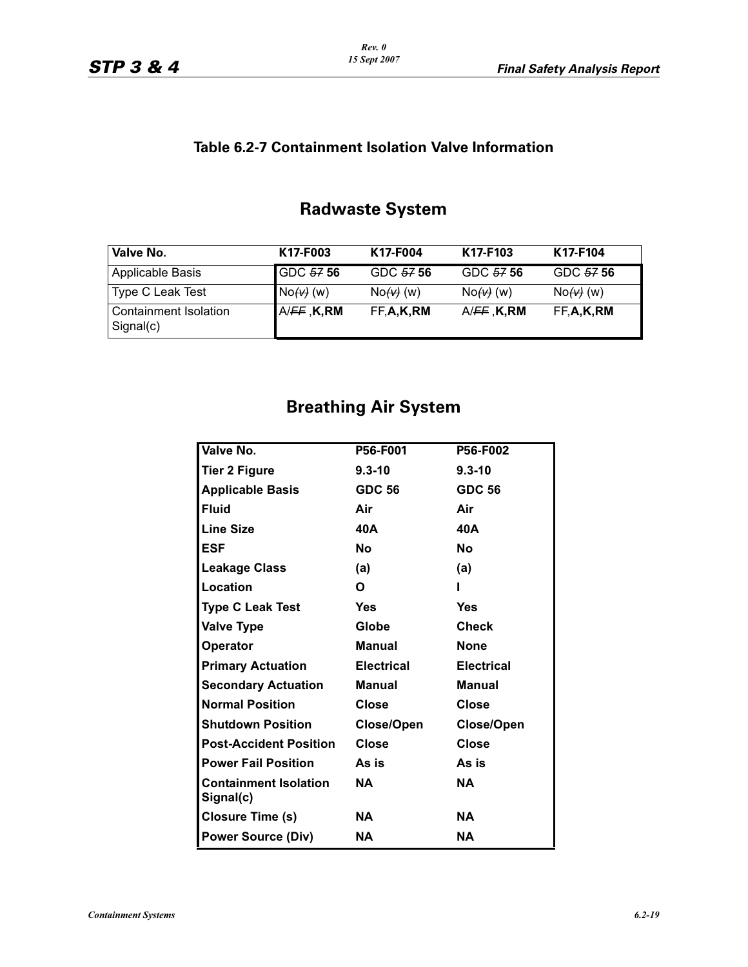# **Radwaste System**

| Valve No.                          | K17-F003    | K17-F004    | K17-F103                 | K17-F104  |
|------------------------------------|-------------|-------------|--------------------------|-----------|
| Applicable Basis                   | GDC 57 56   | GDC 57 56   | GDC 57 56                | GDC 57 56 |
| Type C Leak Test                   | $No(w)$ (w) | $No(w)$ (w) | $No$ (w)                 | $No$ (w)  |
| Containment Isolation<br>Signal(c) | A/FF, K, RM | FF,A,K,RM   | A/ <del>FF</del> , K, RM | FF,A,K,RM |

# **Breathing Air System**

| Valve No.                                 | P56-F001          | P56-F002          |
|-------------------------------------------|-------------------|-------------------|
| <b>Tier 2 Figure</b>                      | $9.3 - 10$        | $9.3 - 10$        |
| <b>Applicable Basis</b>                   | <b>GDC 56</b>     | <b>GDC 56</b>     |
| <b>Fluid</b>                              | Air               | Air               |
| <b>Line Size</b>                          | 40A               | 40A               |
| <b>ESF</b>                                | <b>No</b>         | Nο                |
| <b>Leakage Class</b>                      | (a)               | (a)               |
| Location                                  | O                 |                   |
| <b>Type C Leak Test</b>                   | <b>Yes</b>        | Yes               |
| <b>Valve Type</b>                         | Globe             | <b>Check</b>      |
| <b>Operator</b>                           | <b>Manual</b>     | None              |
| <b>Primary Actuation</b>                  | <b>Electrical</b> | <b>Electrical</b> |
| <b>Secondary Actuation</b>                | <b>Manual</b>     | <b>Manual</b>     |
| <b>Normal Position</b>                    | Close             | Close             |
| <b>Shutdown Position</b>                  | Close/Open        | Close/Open        |
| <b>Post-Accident Position</b>             | <b>Close</b>      | <b>Close</b>      |
| <b>Power Fail Position</b>                | As is             | As is             |
| <b>Containment Isolation</b><br>Signal(c) | NA                | ΝA                |
| Closure Time (s)                          | NA.               | <b>NA</b>         |
| <b>Power Source (Div)</b>                 | ΝA                | ΝA                |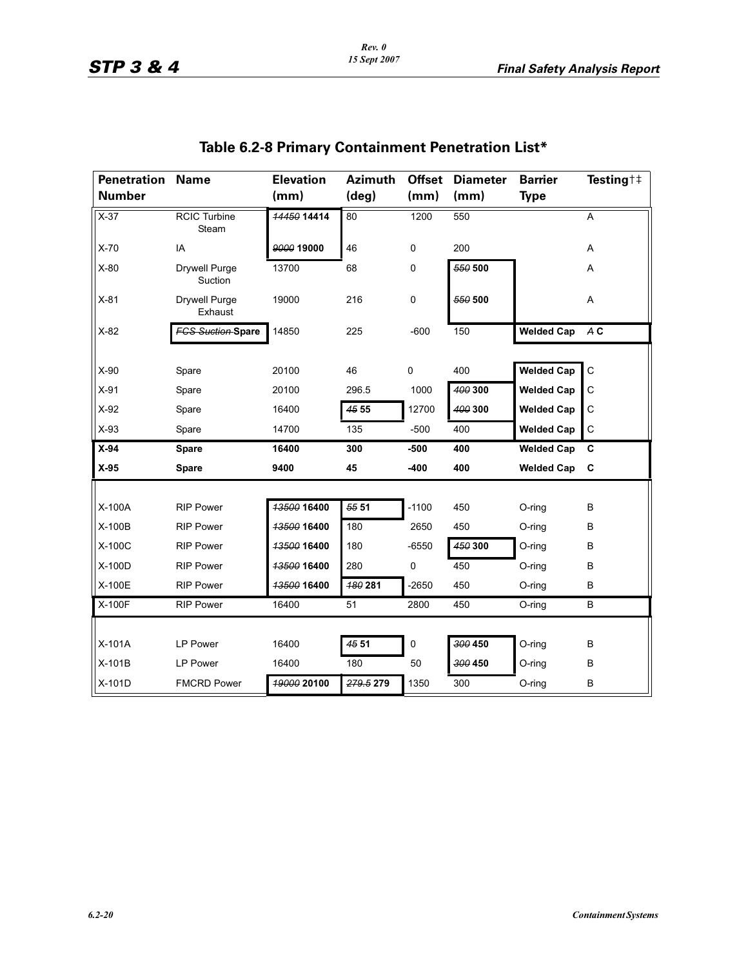| <b>Penetration</b><br><b>Number</b> | <b>Name</b>                     | <b>Elevation</b><br>(mm) | <b>Azimuth</b><br>$(\text{deg})$ | <b>Offset</b><br>(mm) | <b>Diameter</b><br>(mm) | <b>Barrier</b><br><b>Type</b> | Testing $\ddagger \ddagger$ |
|-------------------------------------|---------------------------------|--------------------------|----------------------------------|-----------------------|-------------------------|-------------------------------|-----------------------------|
| $X-37$                              | <b>RCIC Turbine</b><br>Steam    | 14450 14414              | $\overline{80}$                  | 1200                  | 550                     |                               | A                           |
| $X-70$                              | IA                              | 9000 19000               | 46                               | 0                     | 200                     |                               | A                           |
| $X-80$                              | <b>Drywell Purge</b><br>Suction | 13700                    | 68                               | 0                     | 550 500                 |                               | Α                           |
| $X-81$                              | <b>Drywell Purge</b><br>Exhaust | 19000                    | 216                              | 0                     | 550 500                 |                               | Α                           |
| $X-82$                              | <b>FGS Suction Spare</b>        | 14850                    | 225                              | $-600$                | 150                     | <b>Welded Cap</b>             | A C                         |
|                                     |                                 |                          |                                  |                       |                         |                               |                             |
| $X-90$                              | Spare                           | 20100                    | 46                               | $\mathbf 0$           | 400                     | <b>Welded Cap</b>             | C                           |
| $X-91$                              | Spare                           | 20100                    | 296.5                            | 1000                  | 400 300                 | <b>Welded Cap</b>             | C                           |
| $X-92$                              | Spare                           | 16400                    | 45 55                            | 12700                 | 400 300                 | <b>Welded Cap</b>             | С                           |
| $X-93$                              | Spare                           | 14700                    | 135                              | $-500$                | 400                     | <b>Welded Cap</b>             | C                           |
| $X-94$                              | <b>Spare</b>                    | 16400                    | 300                              | $-500$                | 400                     | <b>Welded Cap</b>             | C                           |
| $X-95$                              | <b>Spare</b>                    | 9400                     | 45                               | -400                  | 400                     | <b>Welded Cap</b>             | C                           |
|                                     |                                 |                          |                                  |                       |                         |                               |                             |
| $X-100A$                            | <b>RIP Power</b>                | 13500 16400              | 55 51                            | $-1100$               | 450                     | O-ring                        | B                           |
| X-100B                              | <b>RIP Power</b>                | 13500 16400              | 180                              | 2650                  | 450                     | O-ring                        | B                           |
| $X-100C$                            | <b>RIP Power</b>                | 13500 16400              | 180                              | $-6550$               | 450 300                 | O-ring                        | B                           |
| X-100D                              | <b>RIP Power</b>                | 13500 16400              | 280                              | 0                     | 450                     | O-ring                        | B                           |
| X-100E                              | <b>RIP Power</b>                | 13500 16400              | 480 281                          | $-2650$               | 450                     | O-ring                        | B                           |
| X-100F                              | <b>RIP Power</b>                | 16400                    | 51                               | 2800                  | 450                     | O-ring                        | В                           |
|                                     |                                 |                          |                                  |                       |                         |                               |                             |
| X-101A                              | <b>LP Power</b>                 | 16400                    | 45 51                            | 0                     | 300 450                 | O-ring                        | B                           |
| X-101B                              | LP Power                        | 16400                    | 180                              | 50                    | 300 450                 | O-ring                        | B                           |
| X-101D                              | <b>FMCRD Power</b>              | 19000 20100              | 279.5 279                        | 1350                  | 300                     | $O$ -ring                     | B                           |

# **Table 6.2-8 Primary Containment Penetration List\***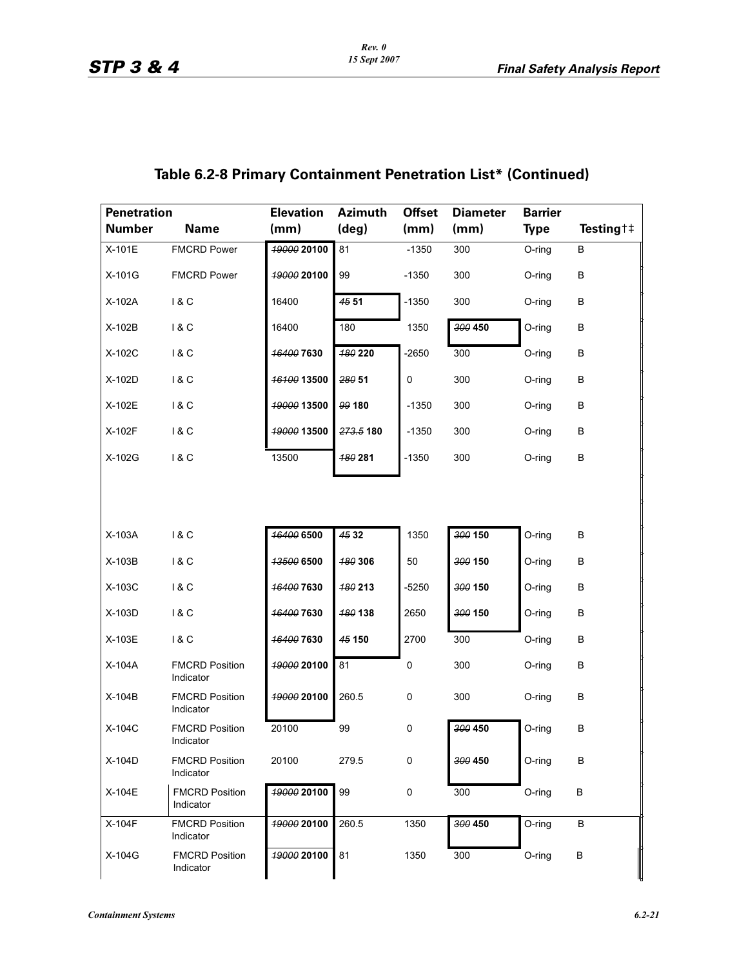| <b>Penetration</b><br><b>Number</b> | <b>Name</b>                        | <b>Elevation</b><br>(mm) | <b>Azimuth</b><br>$(\text{deg})$ | <b>Offset</b><br>(mm) | <b>Diameter</b><br>(mm) | <b>Barrier</b><br><b>Type</b> | Testing † ‡ |
|-------------------------------------|------------------------------------|--------------------------|----------------------------------|-----------------------|-------------------------|-------------------------------|-------------|
| X-101E                              | <b>FMCRD Power</b>                 | 49000 20100              | 81                               | $-1350$               | 300                     | O-ring                        | В           |
| X-101G                              | <b>FMCRD Power</b>                 | 19000 20100              | 99                               | $-1350$               | 300                     | O-ring                        | B           |
| X-102A                              | 18C                                | 16400                    | 45 51                            | $-1350$               | 300                     | O-ring                        | B           |
| X-102B                              | 18C                                | 16400                    | 180                              | 1350                  | 300 450                 | O-ring                        | B           |
| X-102C                              | 18C                                | <b>16400 7630</b>        | <b>180 220</b>                   | $-2650$               | 300                     | O-ring                        | В           |
| X-102D                              | 1 & C                              | <b>16100 13500</b>       | 280 51                           | $\pmb{0}$             | 300                     | O-ring                        | B           |
| X-102E                              | 1 & C                              | 19000 13500              | 99 180                           | $-1350$               | 300                     | O-ring                        | В           |
| X-102F                              | 1 & C                              | 19000 13500              | 273.5 180                        | $-1350$               | 300                     | O-ring                        | B           |
| X-102G                              | 1 & C                              | 13500                    | 180 281                          | $-1350$               | 300                     | O-ring                        | B           |
| X-103A                              | 18C                                | 16400 6500               | $\frac{45}{32}$                  | 1350                  | 300 150                 | O-ring                        | B           |
|                                     |                                    |                          |                                  |                       |                         |                               |             |
| X-103B                              | 1 & C                              | 13500 6500               | <b>480 306</b>                   | 50                    | 300 150                 | O-ring                        | B           |
| X-103C                              | 1 & C                              | <b>16400 7630</b>        | 180 213                          | $-5250$               | 300 150                 | O-ring                        | B           |
| X-103D                              | 1 & C                              | 16400 7630               | 180 138                          | 2650                  | 300 150                 | O-ring                        | B           |
| X-103E                              | 1 & C                              | 16400 7630               | 45 150                           | 2700                  | 300                     | O-ring                        | В           |
| X-104A                              | <b>FMCRD Position</b><br>Indicator | <b>19000 20100</b>       | 81                               | 0                     | 300                     | O-ring                        | B           |
| X-104B                              | <b>FMCRD Position</b><br>Indicator | 19000 20100              | 260.5                            | $\pmb{0}$             | 300                     | O-ring                        | B           |
| X-104C                              | <b>FMCRD Position</b><br>Indicator | 20100                    | 99                               | $\pmb{0}$             | 300 450                 | O-ring                        | B           |
| X-104D                              | <b>FMCRD Position</b><br>Indicator | 20100                    | 279.5                            | 0                     | 300 450                 | O-ring                        | В           |
| X-104E                              | <b>FMCRD Position</b><br>Indicator | 19000 20100              | 99                               | $\mathsf 0$           | 300                     | O-ring                        | B           |
| X-104F                              | <b>FMCRD Position</b><br>Indicator | 19000 20100              | 260.5                            | 1350                  | 300 450                 | O-ring                        | B           |
| X-104G                              | <b>FMCRD Position</b><br>Indicator | 49000 20100              | 81                               | 1350                  | 300                     | O-ring                        | В           |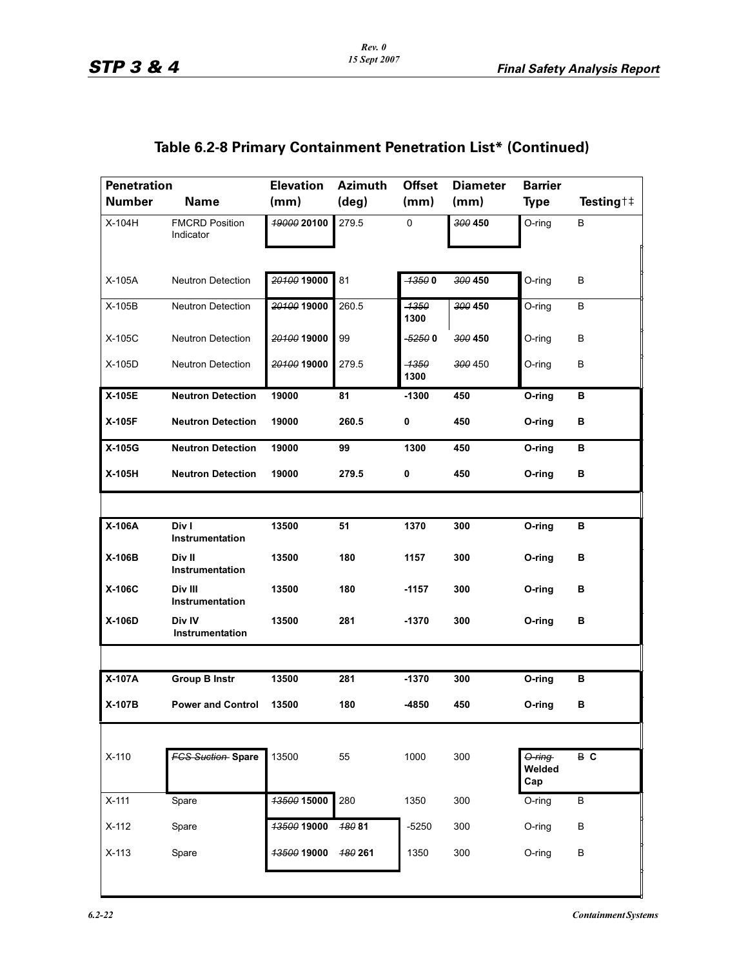| <b>Penetration</b> |                                    | <b>Elevation</b>  | <b>Azimuth</b> | <b>Offset</b> | <b>Diameter</b> | <b>Barrier</b>              |                      |
|--------------------|------------------------------------|-------------------|----------------|---------------|-----------------|-----------------------------|----------------------|
| <b>Number</b>      | <b>Name</b>                        | (mm)              | (deg)          | (mm)          | (mm)            | Type                        | Testing <sup>†</sup> |
| X-104H             | <b>FMCRD Position</b><br>Indicator | 19000 20100       | 279.5          | 0             | 300 450         | O-ring                      | В                    |
|                    |                                    |                   |                |               |                 |                             |                      |
| X-105A             | <b>Neutron Detection</b>           | 20100 19000       | 81             | $-13500$      | 300 450         | O-ring                      | В                    |
| X-105B             | <b>Neutron Detection</b>           | 20100 19000       | 260.5          | -1350<br>1300 | 300 450         | O-ring                      | В                    |
| X-105C             | <b>Neutron Detection</b>           | 20100 19000       | 99             | -52500        | 300 450         | O-ring                      | В                    |
| X-105D             | Neutron Detection                  | 20100 19000       | 279.5          | -1350<br>1300 | 300 450         | O-ring                      | В                    |
| X-105E             | <b>Neutron Detection</b>           | 19000             | 81             | $-1300$       | 450             | O-ring                      | в                    |
| X-105F             | <b>Neutron Detection</b>           | 19000             | 260.5          | 0             | 450             | O-ring                      | в                    |
| X-105G             | <b>Neutron Detection</b>           | 19000             | 99             | 1300          | 450             | O-ring                      | в                    |
| X-105H             | <b>Neutron Detection</b>           | 19000             | 279.5          | 0             | 450             | O-ring                      | В                    |
|                    |                                    |                   |                |               |                 |                             |                      |
| X-106A             | Div I<br>Instrumentation           | 13500             | 51             | 1370          | 300             | O-ring                      | в                    |
| X-106B             | Div II<br>Instrumentation          | 13500             | 180            | 1157          | 300             | O-ring                      | в                    |
| X-106C             | Div III<br>Instrumentation         | 13500             | 180            | $-1157$       | 300             | O-ring                      | в                    |
| X-106D             | Div IV<br>Instrumentation          | 13500             | 281            | $-1370$       | 300             | O-ring                      | В                    |
|                    |                                    |                   |                |               |                 |                             |                      |
| X-107A             | <b>Group B Instr</b>               | 13500             | 281            | $-1370$       | 300             | O-ring                      | в                    |
| X-107B             | <b>Power and Control</b>           | 13500             | 180            | $-4850$       | 450             | O-ring                      | в                    |
|                    |                                    |                   |                |               |                 |                             |                      |
| $X-110$            | <b>FCS Suction Spare</b>           | 13500             | 55             | 1000          | 300             | $O$ -ring-<br>Welded<br>Cap | B C                  |
| $X-111$            | Spare                              | 13500 15000       | 280            | 1350          | 300             | O-ring                      | $\sf B$              |
| $X-112$            | Spare                              | 13500 19000       | 48081          | $-5250$       | 300             | O-ring                      | B                    |
| $X-113$            | Spare                              | <b>4350019000</b> | 180 261        | 1350          | 300             | O-ring                      | B                    |
|                    |                                    |                   |                |               |                 |                             |                      |
|                    |                                    |                   |                |               |                 |                             |                      |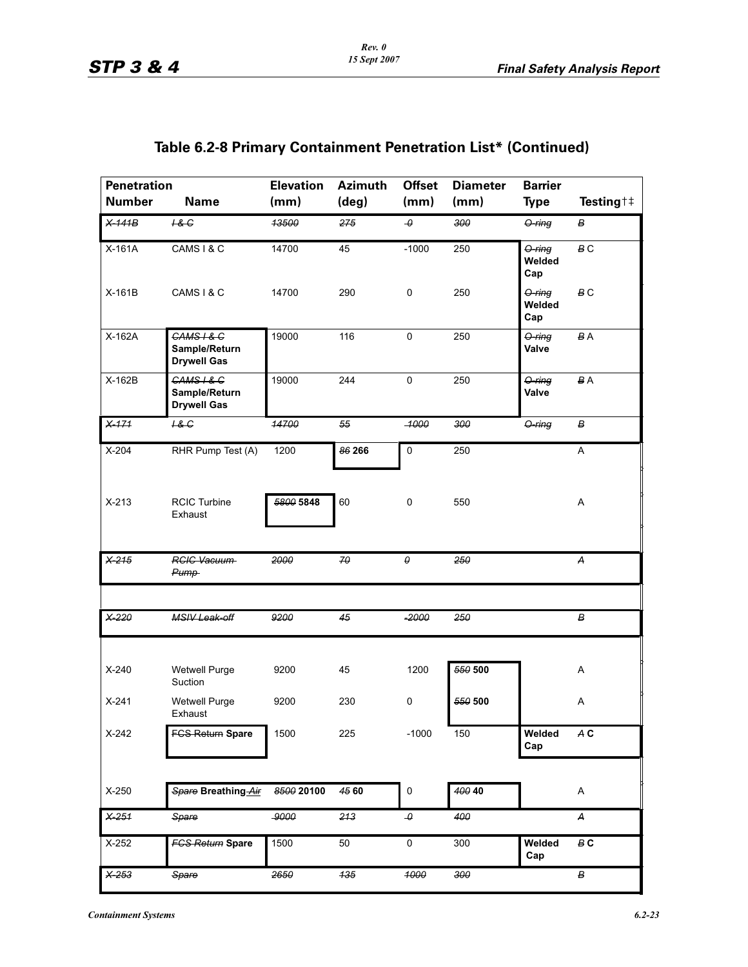| <b>Penetration</b><br><b>Number</b> | <b>Name</b>                                         | <b>Elevation</b><br>(mm) | <b>Azimuth</b><br>$(\text{deg})$ | <b>Offset</b><br>(mm) | <b>Diameter</b><br>(mm) | <b>Barrier</b><br><b>Type</b> | Testing <sup>†</sup> ‡ |
|-------------------------------------|-----------------------------------------------------|--------------------------|----------------------------------|-----------------------|-------------------------|-------------------------------|------------------------|
| $X-141B$                            | 18G                                                 | 13500                    | 275                              | $\pmb{\theta}$        | 300                     | O-ring                        | в                      |
| X-161A                              | CAMS I & C                                          | 14700                    | 45                               | $-1000$               | 250                     | $O$ -ring<br>Welded<br>Cap    | B <sub>C</sub>         |
| X-161B                              | CAMS I & C                                          | 14700                    | 290                              | 0                     | 250                     | O-ring<br>Welded<br>Cap       | B <sub>C</sub>         |
| X-162A                              | $GAMS + 8 G$<br>Sample/Return<br><b>Drywell Gas</b> | 19000                    | 116                              | 0                     | 250                     | $O$ -ring<br>Valve            | <b>BA</b>              |
| X-162B                              | $GAMS + 8 G$<br>Sample/Return<br><b>Drywell Gas</b> | 19000                    | 244                              | 0                     | 250                     | $O$ -ring<br>Valve            | BA                     |
| $X-171$                             | H & G                                               | 14700                    | 55                               | $-1000$               | 300                     | O-ring                        | В                      |
| $X-204$                             | RHR Pump Test (A)                                   | 1200                     | 86 266                           | $\pmb{0}$             | 250                     |                               | Α                      |
| $X-213$                             | <b>RCIC Turbine</b><br>Exhaust                      | 5800 5848                | 60                               | $\pmb{0}$             | 550                     |                               | Α                      |
| $X-215$                             | <b>RCIC Vacuum</b><br>Pump-                         | 2000                     | 70                               | 0                     | 250                     |                               | Λ                      |
| $X-220$                             | <b>MSIV Leak-off</b>                                | 9200                     | 45                               | $-2000$               | 250                     |                               | В                      |
| $X-240$                             | Wetwell Purge<br>Suction                            | 9200                     | 45                               | 1200                  | $\frac{660}{600}$ 500   |                               | Α                      |
| $X-241$                             | Wetwell Purge<br>Exhaust                            | 9200                     | 230                              | $\pmb{0}$             | 550 500                 |                               | Α                      |
| $X-242$                             | <b>FCS Return Spare</b>                             | 1500                     | 225                              | $-1000$               | 150                     | Welded<br>Cap                 | A C                    |
| X-250                               | Spare Breathing Air                                 | 8500 20100               | 45 60                            | $\pmb{0}$             | 400 40                  |                               | Α                      |
| $X-251$                             | Spare                                               | $-9000$                  | 213                              | $\theta$              | 400                     |                               | А                      |
| X-252                               | <b>FCS Return Spare</b>                             | 1500                     | 50                               | $\pmb{0}$             | 300                     | Welded<br>Cap                 | B C                    |
| $X-253$                             | Spare                                               | 2650                     | $\frac{1}{135}$                  | 4000                  | 300                     |                               | в                      |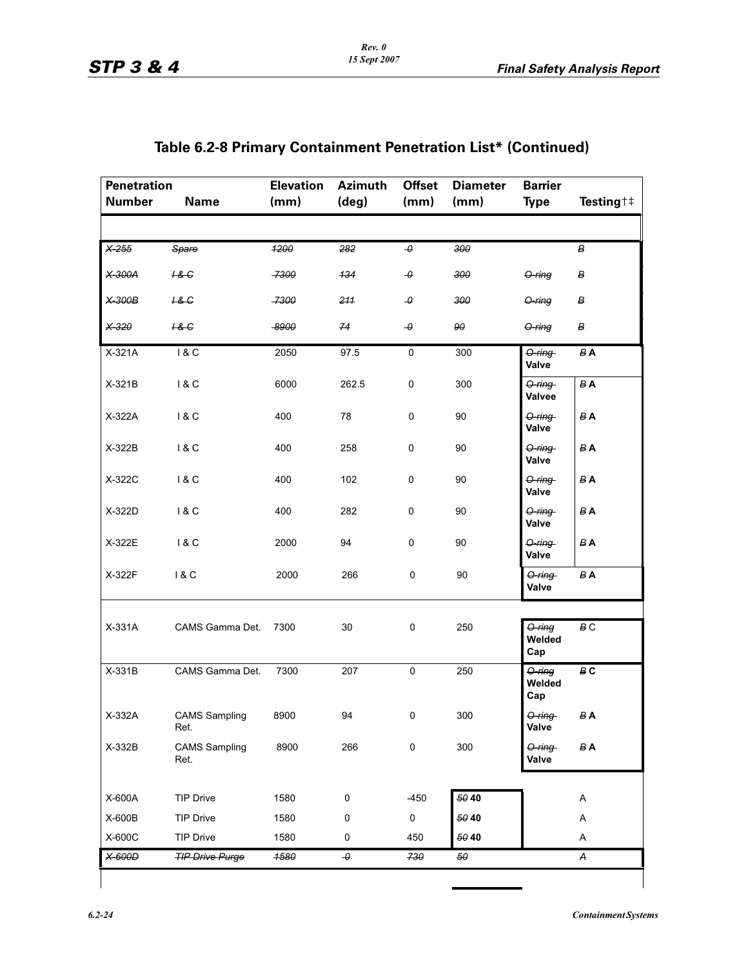| Table 6.2-8 Primary Containment Penetration List* (Continued) |  |  |  |  |
|---------------------------------------------------------------|--|--|--|--|
|---------------------------------------------------------------|--|--|--|--|

| <b>Penetration</b><br><b>Number</b> | <b>Name</b>                  | <b>Elevation</b><br>(mm) | <b>Azimuth</b><br>$(\text{deg})$ | <b>Offset</b><br>(mm) | <b>Diameter</b><br>(mm) | <b>Barrier</b><br><b>Type</b> | Testing † ‡                   |
|-------------------------------------|------------------------------|--------------------------|----------------------------------|-----------------------|-------------------------|-------------------------------|-------------------------------|
|                                     |                              |                          |                                  |                       |                         |                               |                               |
| $X-255$                             | Spare                        | 4200                     | 282                              | $\theta$              | 300                     |                               | В                             |
| X-300A                              | 18G                          | -7300                    | 134                              | $\boldsymbol{\theta}$ | 300                     | $O$ -ring                     | в                             |
| $X-300B$                            | 18G                          | -7300                    | 211                              | $\pmb{\theta}$        | 300                     | <del>O-ring</del>             | $\boldsymbol{B}$              |
| X-320                               | 18G                          | -8900                    | 74                               | $\theta$              | 90                      | $O$ -ring                     | $\pmb{B}$                     |
| X-321A                              | 1 & C                        | 2050                     | 97.5                             | $\pmb{0}$             | 300                     | $O$ -ring-<br>Valve           | $B$ A                         |
| $X-321B$                            | 1 & C                        | 6000                     | 262.5                            | $\mathbf 0$           | 300                     | $O$ -ring-<br>Valvee          | <b>BA</b>                     |
| X-322A                              | 18C                          | 400                      | 78                               | $\pmb{0}$             | 90                      | O-ring<br>Valve               | $\pmb{B} \, \pmb{\mathsf{A}}$ |
| $X-322B$                            | 1 & C                        | 400                      | 258                              | $\pmb{0}$             | 90                      | O-ring<br>Valve               | $B$ A                         |
| X-322C                              | 18C                          | 400                      | 102                              | $\mathbf 0$           | 90                      | O-ring<br>Valve               | <b>BA</b>                     |
| X-322D                              | 1 & C                        | 400                      | 282                              | 0                     | 90                      | O-ring<br>Valve               | $B$ A                         |
| X-322E                              | 18C                          | 2000                     | 94                               | $\mathbf 0$           | 90                      | <del>O-ring</del><br>Valve    | $B$ A                         |
| X-322F                              | 18C                          | 2000                     | 266                              | 0                     | 90                      | O-ring<br>Valve               | <b>BA</b>                     |
| $X-331A$                            | CAMS Gamma Det.              | 7300                     | 30                               | $\pmb{0}$             | 250                     | $O$ -ring<br>Welded<br>Cap    | $\boldsymbol{B}$ C            |
| X-331B                              | CAMS Gamma Det.              | 7300                     | 207                              | $\pmb{0}$             | 250                     | O-ring<br>Welded<br>Cap       | $\boldsymbol{B}$ C            |
| X-332A                              | <b>CAMS Sampling</b><br>Ret. | 8900                     | 94                               | 0                     | 300                     | O-ring<br>Valve               | B A                           |
| X-332B                              | <b>CAMS Sampling</b><br>Ret. | 8900                     | 266                              | $\pmb{0}$             | 300                     | $O$ -ring-<br>Valve           | <b>BA</b>                     |
| X-600A                              | <b>TIP Drive</b>             | 1580                     | $\pmb{0}$                        | $-450$                | 50 40                   |                               | Α                             |
| X-600B                              | <b>TIP Drive</b>             | 1580                     | $\pmb{0}$                        | $\pmb{0}$             | 50 40                   |                               | A                             |
| X-600C                              | <b>TIP Drive</b>             | 1580                     | 0                                | 450                   | 50 40                   |                               | Α                             |
| X-600D                              | <b>TIP Drive Purge</b>       | 4580                     | $\boldsymbol{\theta}$            | 730                   | 50                      |                               | A                             |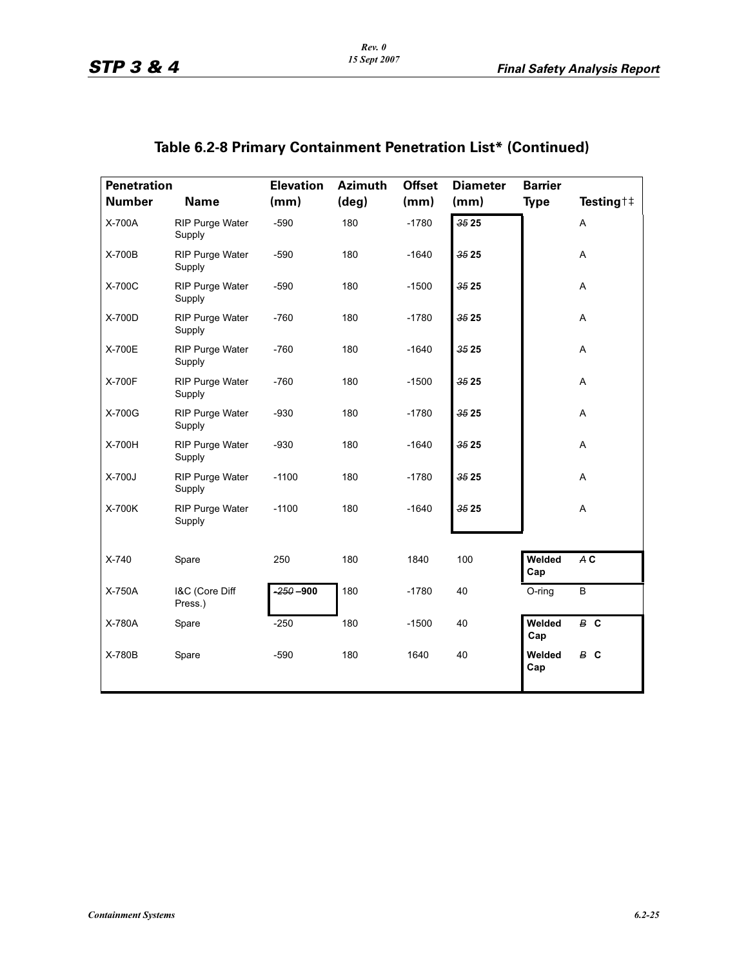| <b>Penetration</b> |                                  | <b>Elevation</b> | <b>Azimuth</b> | <b>Offset</b> | <b>Diameter</b> | <b>Barrier</b> |                               |
|--------------------|----------------------------------|------------------|----------------|---------------|-----------------|----------------|-------------------------------|
| <b>Number</b>      | <b>Name</b>                      | (mm)             | (deg)          | (mm)          | (mm)            | <b>Type</b>    | Testing $\uparrow \downarrow$ |
| X-700A             | <b>RIP Purge Water</b><br>Supply | $-590$           | 180            | $-1780$       | 3525            |                | A                             |
| X-700B             | <b>RIP Purge Water</b><br>Supply | $-590$           | 180            | $-1640$       | 3525            |                | Α                             |
| X-700C             | <b>RIP Purge Water</b><br>Supply | $-590$           | 180            | $-1500$       | 3525            |                | Α                             |
| X-700D             | RIP Purge Water<br>Supply        | $-760$           | 180            | $-1780$       | 3525            |                | A                             |
| X-700E             | RIP Purge Water<br>Supply        | $-760$           | 180            | $-1640$       | 3525            |                | Α                             |
| X-700F             | <b>RIP Purge Water</b><br>Supply | $-760$           | 180            | $-1500$       | 3525            |                | A                             |
| X-700G             | <b>RIP Purge Water</b><br>Supply | $-930$           | 180            | $-1780$       | 35 25           |                | Α                             |
| X-700H             | <b>RIP Purge Water</b><br>Supply | $-930$           | 180            | $-1640$       | 3525            |                | Α                             |
| X-700J             | <b>RIP Purge Water</b><br>Supply | $-1100$          | 180            | $-1780$       | 3525            |                | Α                             |
| X-700K             | <b>RIP Purge Water</b><br>Supply | $-1100$          | 180            | $-1640$       | 3525            |                | A                             |
| X-740              | Spare                            | 250              | 180            | 1840          | 100             | Welded<br>Cap  | A C                           |
| X-750A             | I&C (Core Diff<br>Press.)        | $-250-900$       | 180            | $-1780$       | 40              | O-ring         | B                             |
| X-780A             | Spare                            | $-250$           | 180            | $-1500$       | 40              | Welded<br>Cap  | B C                           |
| X-780B             | Spare                            | $-590$           | 180            | 1640          | 40              | Welded<br>Cap  | B C                           |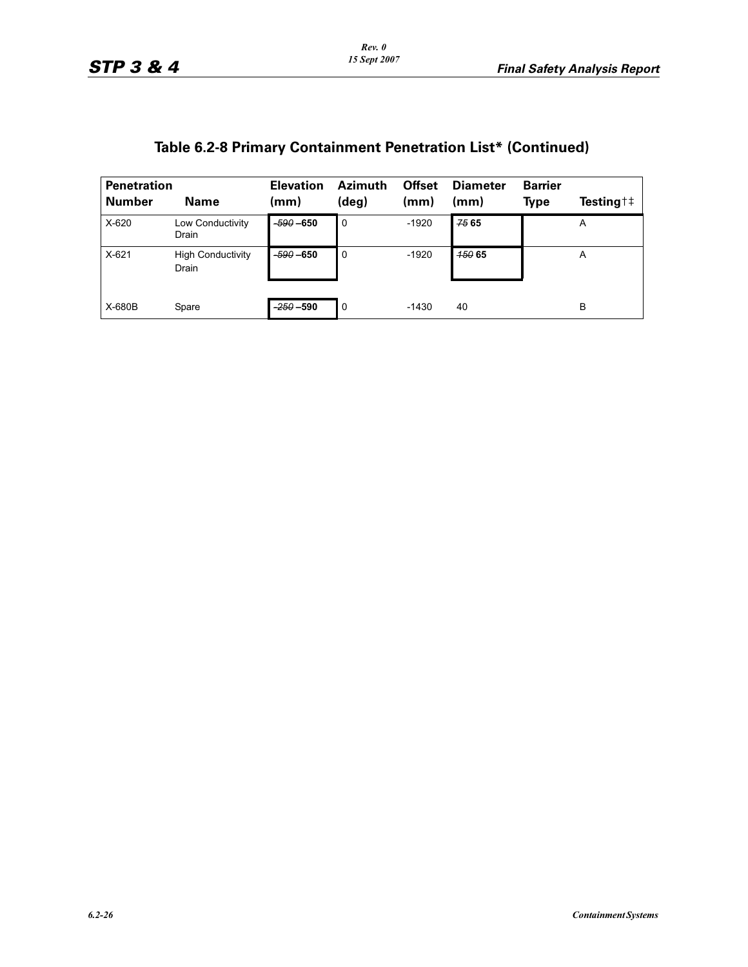| <b>Penetration</b><br><b>Number</b> | <b>Name</b>                       | <b>Elevation</b><br>(mm) | <b>Azimuth</b><br>$(\text{deg})$ | <b>Offset</b><br>(mm) | <b>Diameter</b><br>(mm) | <b>Barrier</b><br>Type | Testing $\uparrow \downarrow$ |
|-------------------------------------|-----------------------------------|--------------------------|----------------------------------|-----------------------|-------------------------|------------------------|-------------------------------|
| $X-620$                             | Low Conductivity<br>Drain         | $-590 - 650$             | $\overline{0}$                   | $-1920$               | 75 65                   |                        | A                             |
| $X-621$                             | <b>High Conductivity</b><br>Drain | $-590 - 650$             | 0                                | $-1920$               | <b>450 65</b>           |                        | A                             |
| X-680B                              | Spare                             | $-250 - 590$             | 0                                | $-1430$               | 40                      |                        | в                             |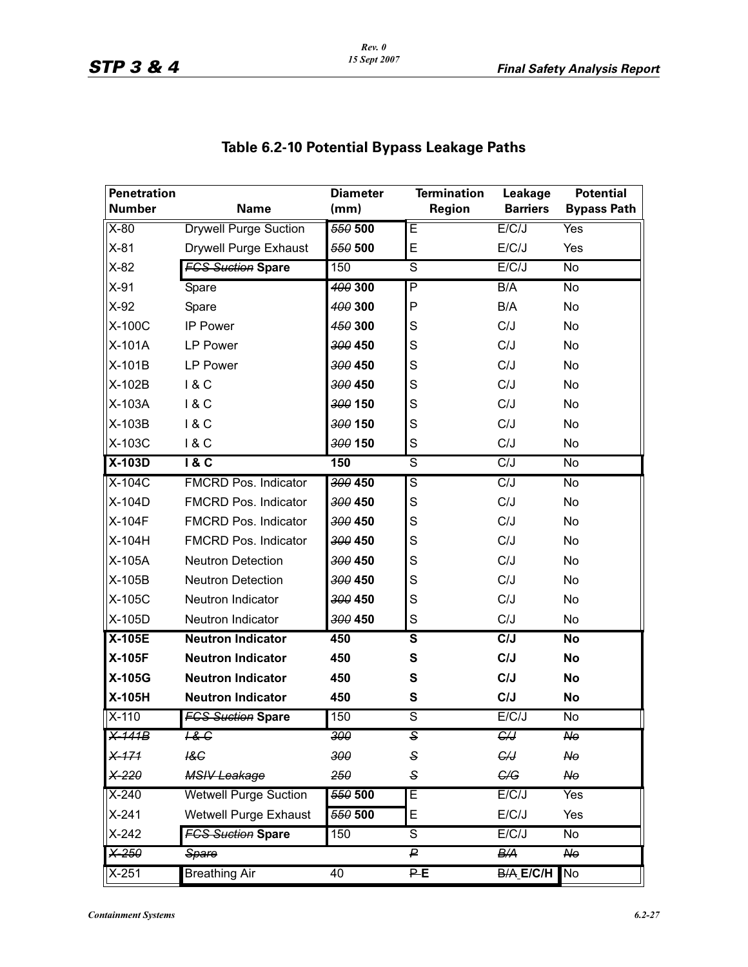| <b>Penetration</b><br><b>Number</b> | <b>Name</b>                  | <b>Diameter</b> | <b>Termination</b>      | Leakage<br><b>Barriers</b> | <b>Potential</b>                  |
|-------------------------------------|------------------------------|-----------------|-------------------------|----------------------------|-----------------------------------|
| $X-80$                              | <b>Drywell Purge Suction</b> | (mm)<br>550 500 | Region<br>E             | E/C/J                      | <b>Bypass Path</b><br><b>Yes</b>  |
| $X-81$                              | Drywell Purge Exhaust        | 550 500         | E                       | E/C/J                      | Yes                               |
| $X-82$                              | <b>FGS Suction Spare</b>     | 150             | $\overline{s}$          | E/C/J                      | $\overline{N}$                    |
| $X-91$                              |                              | 400 300         | P                       | B/A                        | $\overline{N}$                    |
|                                     | Spare                        |                 | P                       | B/A                        | No                                |
| $X-92$                              | Spare                        | 400 300         |                         |                            |                                   |
| X-100C                              | <b>IP Power</b>              | 450 300         | S                       | C/J                        | No                                |
| X-101A                              | <b>LP Power</b>              | 300 450         | S                       | C/J                        | No                                |
| X-101B                              | <b>LP Power</b>              | 300 450         | S                       | C/J                        | No                                |
| X-102B                              | 18C                          | 300 450         | S                       | C/J                        | No                                |
| X-103A                              | 18C                          | 300 150         | S                       | C/J                        | No                                |
| <b>X-103B</b>                       | 1&C                          | 300 150         | S                       | C/J                        | No                                |
| X-103C                              | 18C                          | 300 150         | S                       | C/J                        | No                                |
| $X-103D$                            | 18C                          | 150             | ड                       | C/J                        | $\overline{N}$                    |
| $X-104C$                            | <b>FMCRD Pos. Indicator</b>  | 300 450         | S                       | C/J                        | No                                |
| X-104D                              | <b>FMCRD Pos. Indicator</b>  | 300 450         | S                       | C/J                        | No                                |
| X-104F                              | <b>FMCRD Pos. Indicator</b>  | 300 450         | S                       | C/J                        | No                                |
| X-104H                              | <b>FMCRD Pos. Indicator</b>  | 300 450         | S                       | C/J                        | No                                |
| X-105A                              | <b>Neutron Detection</b>     | 300 450         | S                       | C/J                        | No                                |
| X-105B                              | <b>Neutron Detection</b>     | 300 450         | S                       | C/J                        | No                                |
| X-105C                              | Neutron Indicator            | 300 450         | S                       | C/J                        | No                                |
| X-105D                              | Neutron Indicator            | 300 450         | $\mathbf S$             | C/J                        | No                                |
| $X-105E$                            | <b>Neutron Indicator</b>     | 450             | $\overline{\mathsf{s}}$ | C/J                        | No                                |
| X-105F                              | <b>Neutron Indicator</b>     | 450             | S                       | C/J                        | No                                |
| X-105G                              | <b>Neutron Indicator</b>     | 450             | S                       | C/J                        | <b>No</b>                         |
| X-105H                              | <b>Neutron Indicator</b>     | 450             | ${\bf S}$               | C/J                        | No                                |
| $X-110$                             | <b>FGS Suction Spare</b>     | 150             | S                       | E/C/J                      | No                                |
| $X-141B$                            | <del>1&amp; C</del>          | 300             | S                       | €₩                         | N <sub>0</sub>                    |
| $X-171$                             | 18C                          | 300             | S                       | G/J                        | No                                |
| $X-220$                             | <b>MSIV Leakage</b>          | 250             | S                       | G/G                        | $A\Theta$                         |
| $X-240$                             | <b>Wetwell Purge Suction</b> | 550 500         | Ē                       | E/C/J                      | Yes                               |
| $X-241$                             | Wetwell Purge Exhaust        | 550 500         | E                       | E/C/J                      | Yes                               |
| $X-242$                             | <b>FGS Suction Spare</b>     | 150             | S                       | E/C/J                      | $\overline{N}$                    |
| $X-250$                             | Spare                        |                 | $\overline{P}$          | B/A                        | $\overline{\mathsf{N}\mathsf{e}}$ |
| $X-251$                             | <b>Breathing Air</b>         | 40              | PE                      | <b>B/A E/C/H</b>           | No                                |

# **Table 6.2-10 Potential Bypass Leakage Paths**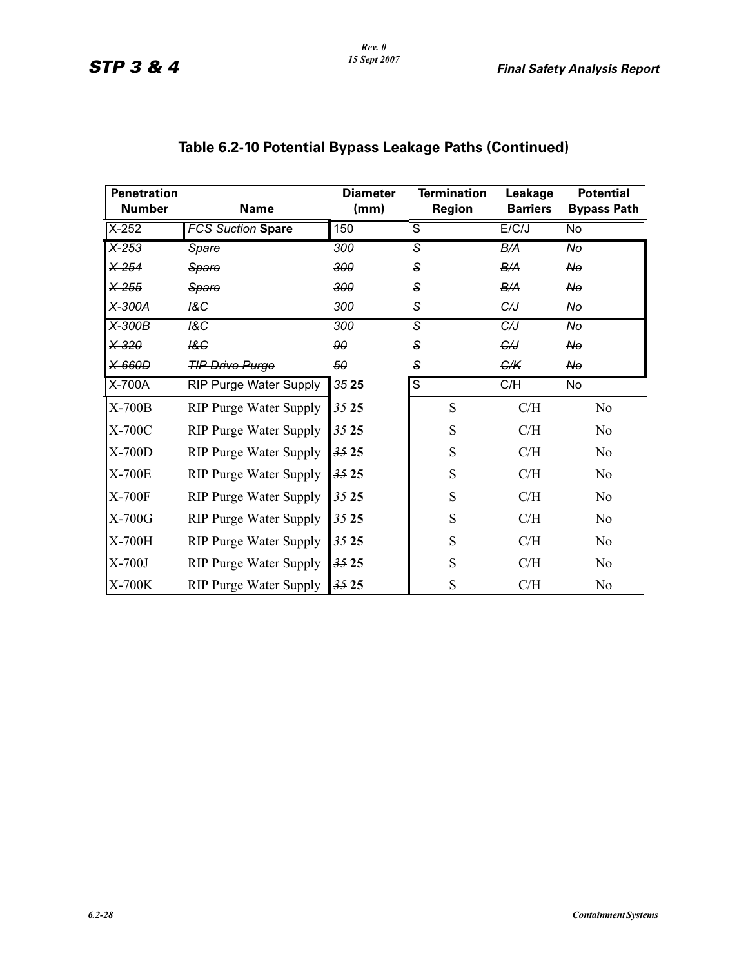| <b>Penetration</b> |                               | <b>Diameter</b>  | <b>Termination</b> | Leakage         | <b>Potential</b>        |  |
|--------------------|-------------------------------|------------------|--------------------|-----------------|-------------------------|--|
| <b>Number</b>      | <b>Name</b>                   | (mm)             | <b>Region</b>      | <b>Barriers</b> | <b>Bypass Path</b>      |  |
| $X-252$            | <b>FCS Suction Spare</b>      | 150              | ड                  | E/C/J           | No                      |  |
| $\times 253$       | Spare                         | $\overline{300}$ | ड                  | B/A             | $\overline{N_{\theta}}$ |  |
| $X-254$            | Spare                         | 300              | S                  | B/A             | $A\Theta$               |  |
| X-255              | Spare                         | 300              | S                  | B/A             | <b>No</b>               |  |
| <del>X 300A</del>  | I&C                           | 300              | $\mathbf{s}$       | G/J             | $A\Theta$               |  |
| $X-300B$           | $\overline{AC}$               | $\overline{300}$ | s]                 | $\overline{G}$  | $\overline{N_{\theta}}$ |  |
| X-320              | 18G                           | 90               | S                  | €IJ             | No                      |  |
| X-660D             | <b>TIP Drive Purge</b>        | 50               | $\mathbf{s}$       | G/K             | $A\Theta$               |  |
| X-700A             | <b>RIP Purge Water Supply</b> | 3525             | $\overline{s}$     | C/H             | No                      |  |
| X-700B             | <b>RIP Purge Water Supply</b> | 3525             | S                  | C/H             | No                      |  |
| X-700C             | <b>RIP Purge Water Supply</b> | 3525             | S                  | C/H             | No                      |  |
| $X-700D$           | <b>RIP Purge Water Supply</b> | 3525             | S                  | C/H             | No                      |  |
| X-700E             | <b>RIP Purge Water Supply</b> | 3525             | S                  | C/H             | No                      |  |
| X-700F             | <b>RIP Purge Water Supply</b> | 3525             | S                  | C/H             | N <sub>o</sub>          |  |
| X-700G             | <b>RIP Purge Water Supply</b> | 3525             | S                  | C/H             | N <sub>o</sub>          |  |
| X-700H             | <b>RIP Purge Water Supply</b> | 3525             | S                  | C/H             | N <sub>o</sub>          |  |
| $X-700J$           | <b>RIP Purge Water Supply</b> | 3525             | S                  | C/H             | N <sub>o</sub>          |  |
| X-700K             | <b>RIP Purge Water Supply</b> | 3525             | S                  | C/H             | No                      |  |

# **Table 6.2-10 Potential Bypass Leakage Paths (Continued)**